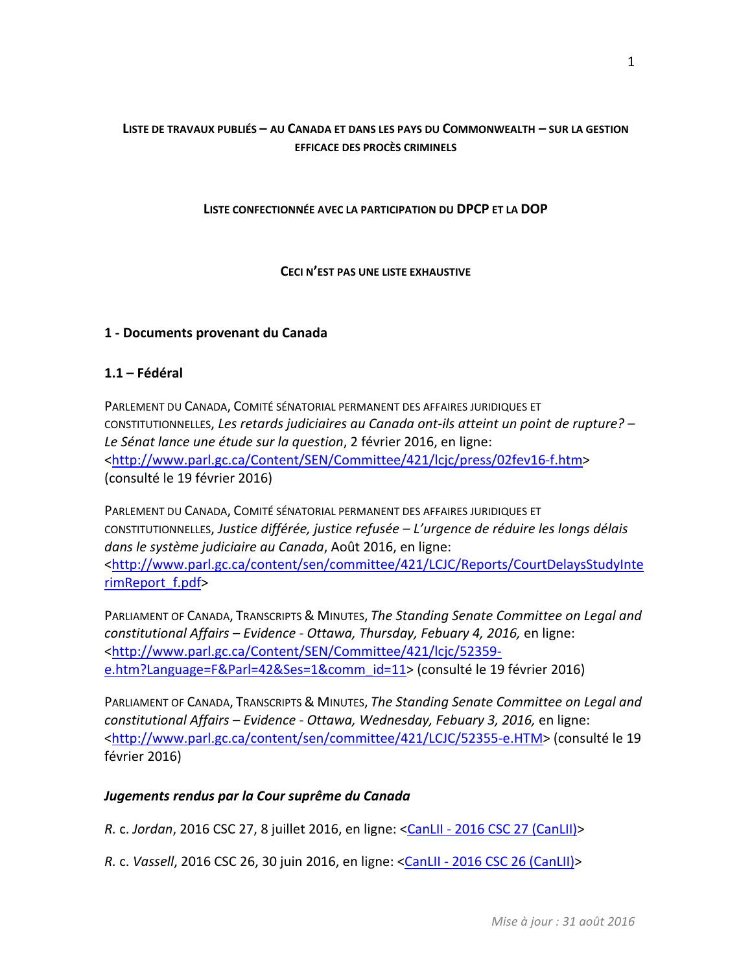### LISTE DE TRAVAUX PUBLIÉS – AU CANADA ET DANS LES PAYS DU COMMONWEALTH – SUR LA GESTION  **EFFICACE DES PROCÈS CRIMINELS**

#### **LISTE CONFECTIONNÉE AVEC LA PARTICIPATION DU DPCP ET LA DOP**

 **CECI N'EST PAS UNE LISTE EXHAUSTIVE**

#### **1 ‐ Documents provenant du Canada**

## **1.1 – Fédéral**

 PARLEMENT DU CANADA, COMITÉ SÉNATORIAL PERMANENT DES AFFAIRES JURIDIQUES ET  CONSTITUTIONNELLES, *Les retards judiciaires au Canada ont‐ils atteint un point de rupture? – Le Sénat lance une étude sur la question*, 2 février 2016, en ligne: (consulté le 19 février 2016) <http://www.parl.gc.ca/Content/SEN/Committee/421/lcjc/press/02fev16‐f.htm>

 PARLEMENT DU CANADA, COMITÉ SÉNATORIAL PERMANENT DES AFFAIRES JURIDIQUES ET  CONSTITUTIONNELLES, *Justice différée, justice refusée – L'urgence de réduire les longs délais dans le système judiciaire au Canada*, Août 2016, en ligne: rimReport\_f.pdf> <http://www.parl.gc.ca/content/sen/committee/421/LCJC/Reports/CourtDelaysStudyInte

  PARLIAMENT OF CANADA, TRANSCRIPTS & MINUTES, *The Standing Senate Committee on Legal and constitutional Affairs – Evidence ‐ Ottawa, Thursday, Febuary 4, 2016,* en ligne: e.htm?Language=F&Parl=42&Ses=1&comm\_id=11> (consulté le 19 février 2016) <http://www.parl.gc.ca/Content/SEN/Committee/421/lcjc/52359‐

  PARLIAMENT OF CANADA, TRANSCRIPTS & MINUTES, *The Standing Senate Committee on Legal and constitutional Affairs – Evidence ‐ Ottawa, Wednesday, Febuary 3, 2016,* en ligne: <http://www.parl.gc.ca/content/sen/committee/421/LCJC/52355-e.HTM> (consulté le 19 février 2016)

## *Jugements rendus par la Cour suprême du Canada*

*R. c. Jordan,* 2016 CSC 27, 8 juillet 2016, en ligne: <<u>CanLII - 2016 CSC 27 (CanLII)</u>>

*R. c. Vassell,* 2016 CSC 26, 30 juin 2016, en ligne: <<u>CanLII - 2016 CSC 26 (CanLII)</u>>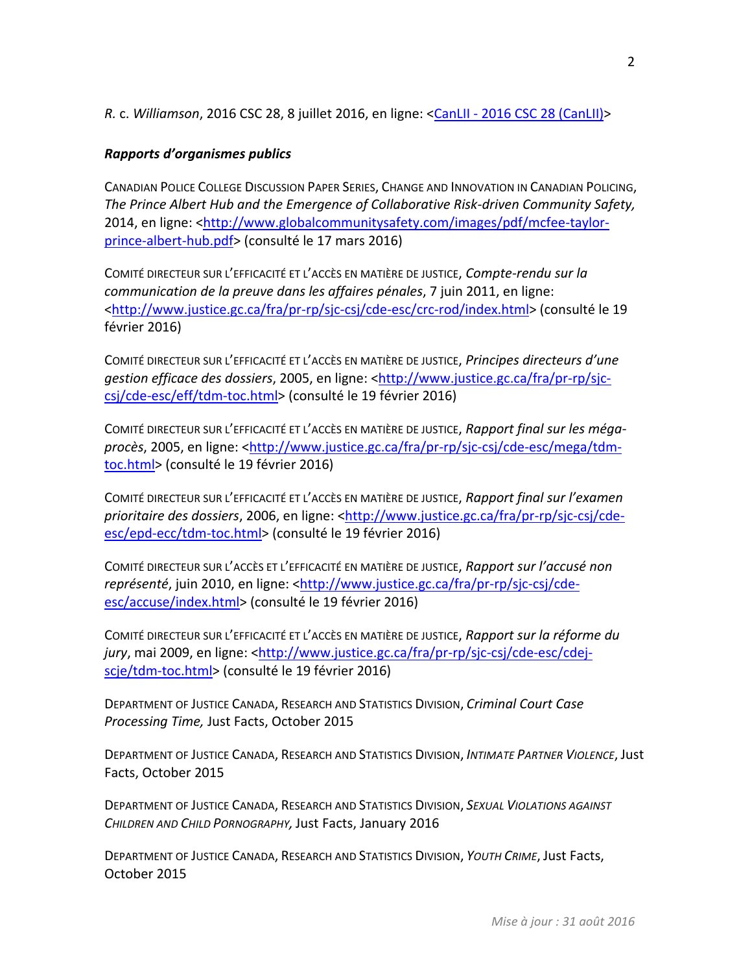## *R. c. Williamson,* 2016 CSC 28, 8 juillet 2016, en ligne: <<u>CanLII - 2016 CSC 28 (CanLII)</u>>

# *Rapports d'organismes publics*

 CANADIAN POLICE COLLEGE DISCUSSION PAPER SERIES, CHANGE AND INNOVATION IN CANADIAN POLICING,  *The Prince Albert Hub and the Emergence of Collaborative Risk‐driven Community Safety,* 2014, en ligne: <http://www.globalcommunitysafety.com/images/pdf/mcfee-taylor-prince‐albert‐hub.pdf> (consulté le 17 mars 2016)

  COMITÉ DIRECTEUR SUR L'EFFICACITÉ ET L'ACCÈS EN MATIÈRE DE JUSTICE, *Compte‐rendu sur la communication de la preuve dans les affaires pénales*, 7 juin 2011, en ligne: <http://www.justice.gc.ca/fra/pr-rp/sjc-csj/cde-esc/crc-rod/index.html> (consulté le 19 février 2016)

  COMITÉ DIRECTEUR SUR L'EFFICACITÉ ET L'ACCÈS EN MATIÈRE DE JUSTICE, *Principes directeurs d'une gestion efficace des dossiers*, 2005, en ligne: <http://www.justice.gc.ca/fra/pr‐rp/sjc‐ csj/cde‐esc/eff/tdm‐toc.html> (consulté le 19 février 2016)

  COMITÉ DIRECTEUR SUR L'EFFICACITÉ ET L'ACCÈS EN MATIÈRE DE JUSTICE, *Rapport final sur les méga‐ procès,* 2005, en ligne: <<u>http://www.justice.gc.ca/fra/pr-rp/sjc-csj/cde-esc/mega/tdm-</u> toc.html> (consulté le 19 février 2016)

  COMITÉ DIRECTEUR SUR L'EFFICACITÉ ET L'ACCÈS EN MATIÈRE DE JUSTICE, *Rapport final sur l'examen prioritaire des dossiers*, 2006, en ligne: <http://www.justice.gc.ca/fra/pr‐rp/sjc‐csj/cde‐ esc/epd-ecc/tdm-toc.html> (consulté le 19 février 2016)

  COMITÉ DIRECTEUR SUR L'ACCÈS ET L'EFFICACITÉ EN MATIÈRE DE JUSTICE, *Rapport sur l'accusé non représenté,* juin 2010, en ligne: <<u>http://www.justice.gc.ca/fra/pr-rp/sjc-csj/cde-</u> esc/accuse/index.html> (consulté le 19 février 2016)

  COMITÉ DIRECTEUR SUR L'EFFICACITÉ ET L'ACCÈS EN MATIÈRE DE JUSTICE, *Rapport sur la réforme du* j*ury,* mai 2009, en ligne: <<u>http://www.justice.gc.ca/fra/pr-rp/sjc-csj/cde-esc/cdej-</u> scje/tdm-toc.html> (consulté le 19 février 2016)

  DEPARTMENT OF JUSTICE CANADA, RESEARCH AND STATISTICS DIVISION, *Criminal Court Case Processing Time,* Just Facts, October 2015

  DEPARTMENT OF JUSTICE CANADA, RESEARCH AND STATISTICS DIVISION, *INTIMATE PARTNER VIOLENCE*, Just Facts, October 2015

  DEPARTMENT OF JUSTICE CANADA, RESEARCH AND STATISTICS DIVISION, *SEXUAL VIOLATIONS AGAINST CHILDREN AND CHILD PORNOGRAPHY,* Just Facts, January 2016

 DEPARTMENT OF JUSTICE CANADA, RESEARCH AND STATISTICS DIVISION, *YOUTH CRIME*, Just Facts, October 2015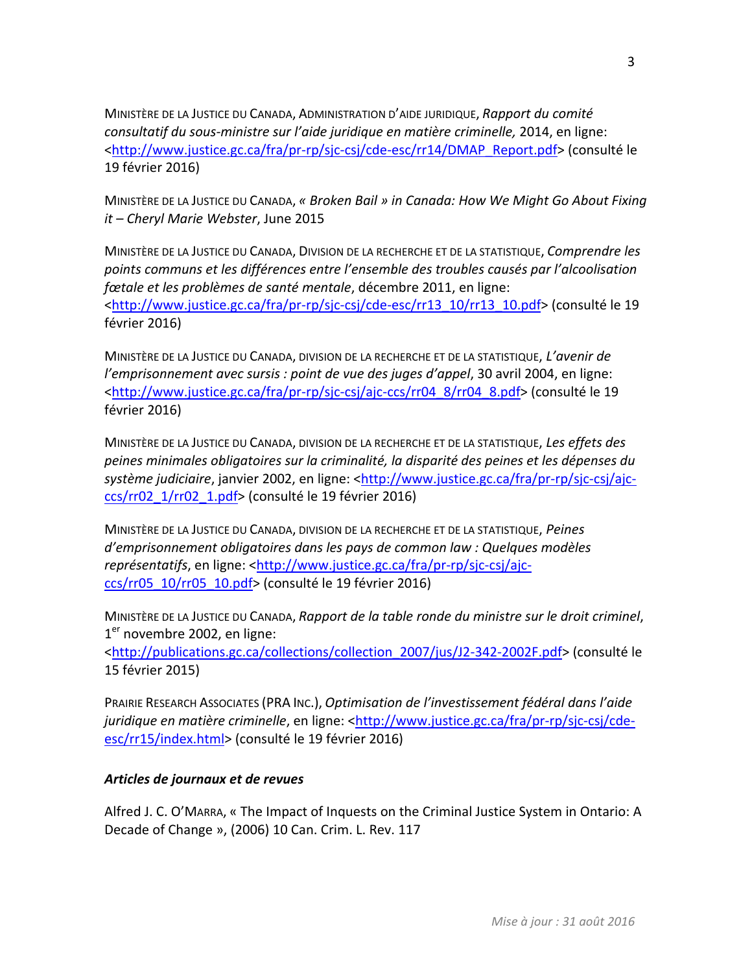MINISTÈRE DE LA JUSTICE DU CANADA, ADMINISTRATION D'AIDE JURIDIQUE, *Rapport du comité consultatif du sous‐ministre sur l'aide juridique en matière criminelle,* 2014, en ligne: <http://www.justice.gc.ca/fra/pr-rp/sjc-csj/cde-esc/rr14/DMAP\_Report.pdf> (consulté le 19 février 2016)

  MINISTÈRE DE LA JUSTICE DU CANADA, *« Broken Bail » in Canada: How We Might Go About Fixing it – Cheryl Marie Webster*, June 2015

  MINISTÈRE DE LA JUSTICE DU CANADA, DIVISION DE LA RECHERCHE ET DE LA STATISTIQUE, *Comprendre les points communs et les différences entre l'ensemble des troubles causés par l'alcoolisation fœtale et les problèmes de santé mentale*, décembre 2011, en ligne: <http://www.justice.gc.ca/fra/pr-rp/sjc-csj/cde-esc/rr13\_10/rr13\_10.pdf> (consulté le 19 février 2016)

  MINISTÈRE DE LA JUSTICE DU CANADA, DIVISION DE LA RECHERCHE ET DE LA STATISTIQUE, *L'avenir de l'emprisonnement avec sursis : point de vue des juges d'appel*, 30 avril 2004, en ligne: <http://www.justice.gc.ca/fra/pr-rp/sjc-csj/ajc-ccs/rr04\_8/rr04\_8.pdf> (consulté le 19 février 2016)

  MINISTÈRE DE LA JUSTICE DU CANADA, DIVISION DE LA RECHERCHE ET DE LA STATISTIQUE, *Les effets des* peines minimales obligatoires sur la criminalité, la disparité des peines et les dépenses du *système judiciaire,* janvier 2002, en ligne: <<u>http://www.justice.gc.ca/fra/pr-rp/sjc-csj/ajc-</u> ccs/rr02\_1/rr02\_1.pdf> (consulté le 19 février 2016)

 MINISTÈRE DE LA JUSTICE DU CANADA, DIVISION DE LA RECHERCHE ET DE LA STATISTIQUE, *Peines d'emprisonnement obligatoires dans les pays de common law : Quelques modèles représentatifs,* en ligne: <<u>http://www.justice.gc.ca/fra/pr-rp/sjc-csj/ajc-</u> ccs/rr05\_10/rr05\_10.pdf> (consulté le 19 février 2016)

  MINISTÈRE DE LA JUSTICE DU CANADA, *Rapport de la table ronde du ministre sur le droit criminel*, 1<sup>er</sup> novembre 2002, en ligne:

<http://publications.gc.ca/collections/collection\_2007/jus/J2-342-2002F.pdf> (consulté le 15 février 2015)

  PRAIRIE RESEARCH ASSOCIATES (PRA INC.), *Optimisation de l'investissement fédéral dans l'aide juridique en matière criminelle*, en ligne: <http://www.justice.gc.ca/fra/pr‐rp/sjc‐csj/cde‐ esc/rr15/index.html> (consulté le 19 février 2016)

# *Articles de journaux et de revues*

 Alfred J. C. O'MARRA, « The Impact of Inquests on the Criminal Justice System in Ontario: A Decade of Change », (2006) 10 Can. Crim. L. Rev. 117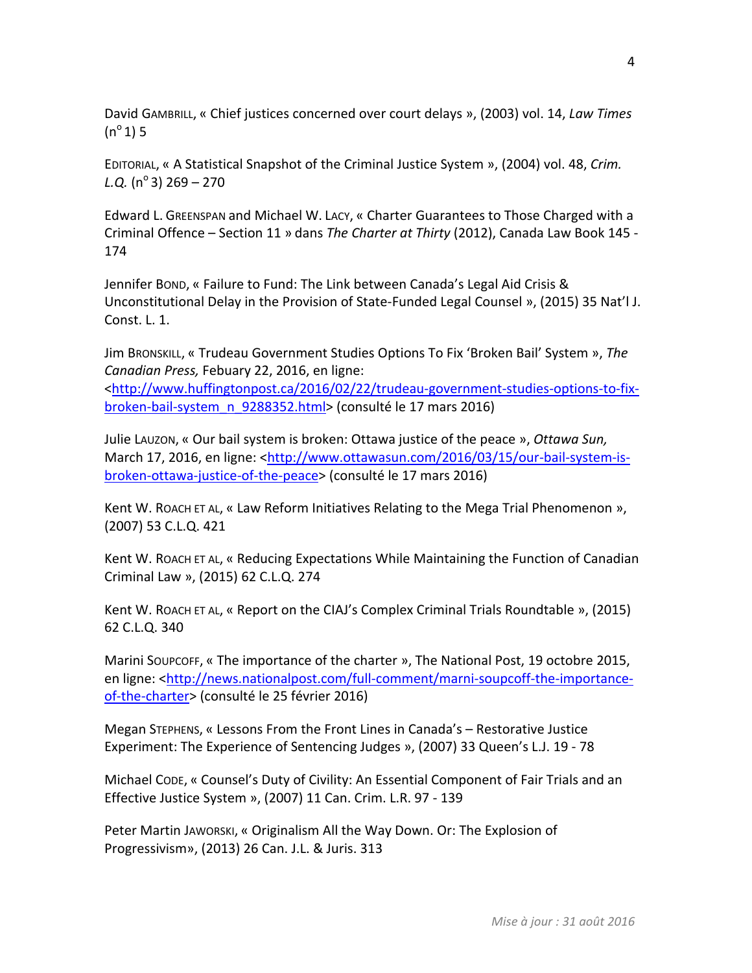David GAMBRILL, « Chief justices concerned over court delays », (2003) vol. 14, *Law Times*  $(n^{\circ}1)$  5

 EDITORIAL, « A Statistical Snapshot of the Criminal Justice System », (2004) vol. 48, *Crim. L.Q.* (n<sup>o</sup> 3) 269 – 270

 Edward L. GREENSPAN and Michael W. LACY, « Charter Guarantees to Those Charged with a  Criminal Offence – Section 11 » dans *The Charter at Thirty* (2012), Canada Law Book 145 ‐ 174

 Jennifer BOND, « Failure to Fund: The Link between Canada's Legal Aid Crisis & Unconstitutional Delay in the Provision of State‐Funded Legal Counsel », (2015) 35 Nat'l J. Const. L. 1.

  Jim BRONSKILL, « Trudeau Government Studies Options To Fix 'Broken Bail' System », *The Canadian Press,* Febuary 22, 2016, en ligne:

broken-bail-system\_n\_9288352.html> (consulté le 17 mars 2016) <http://www.huffingtonpost.ca/2016/02/22/trudeau‐government‐studies‐options‐to‐fix‐

 Julie LAUZON, « Our bail system is broken: Ottawa justice of the peace », *Ottawa Sun,* March 17, 2016, en ligne: <http://www.ottawasun.com/2016/03/15/our-bail-system-is-broken‐ottawa‐justice‐of‐the‐peace> (consulté le 17 mars 2016)

 Kent W. ROACH ET AL, « Law Reform Initiatives Relating to the Mega Trial Phenomenon », (2007) 53 C.L.Q. 421

 Kent W. ROACH ET AL, « Reducing Expectations While Maintaining the Function of Canadian Criminal Law », (2015) 62 C.L.Q. 274

 Kent W. ROACH ET AL, « Report on the CIAJ's Complex Criminal Trials Roundtable », (2015) 62 C.L.Q. 340

 Marini SOUPCOFF, « The importance of the charter », The National Post, 19 octobre 2015, en ligne: <http://news.nationalpost.com/full-comment/marni-soupcoff-the-importanceof-the-charter> (consulté le 25 février 2016)

 Megan STEPHENS, « Lessons From the Front Lines in Canada's – Restorative Justice Experiment: The Experience of Sentencing Judges », (2007) 33 Queen's L.J. 19 ‐ 78

 Michael CODE, « Counsel's Duty of Civility: An Essential Component of Fair Trials and an Effective Justice System », (2007) 11 Can. Crim. L.R. 97 ‐ 139

 Peter Martin JAWORSKI, « Originalism All the Way Down. Or: The Explosion of Progressivism», (2013) 26 Can. J.L. & Juris. 313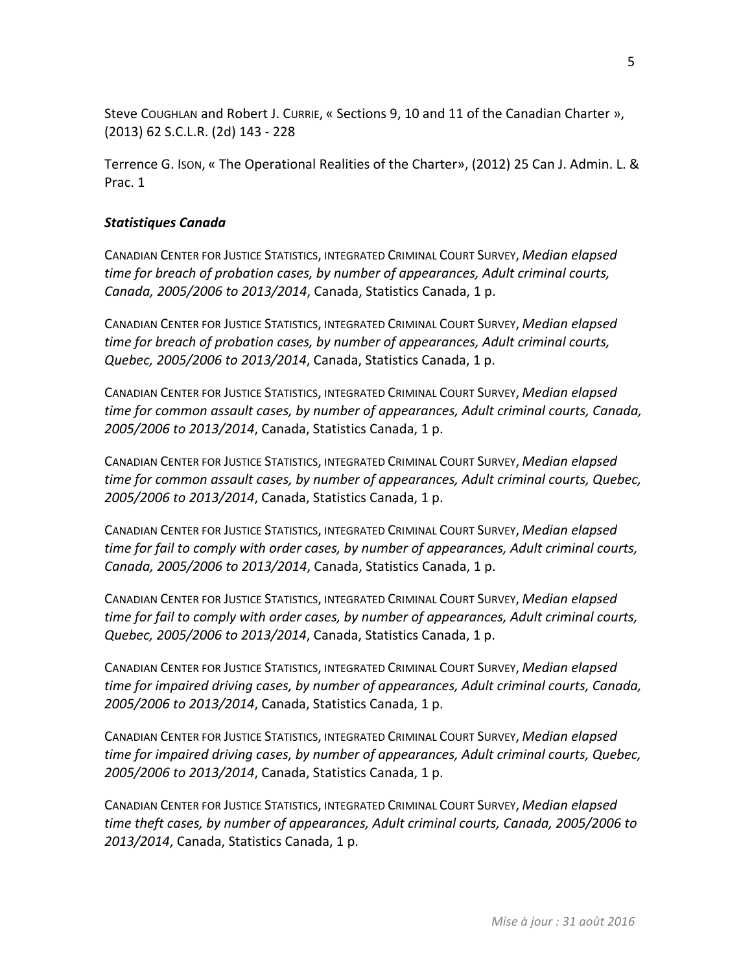Steve COUGHLAN and Robert J. CURRIE, « Sections 9, 10 and 11 of the Canadian Charter », (2013) 62 S.C.L.R. (2d) 143 ‐ 228

 Terrence G. ISON, « The Operational Realities of the Charter», (2012) 25 Can J. Admin. L. & Prac. 1

### *Statistiques Canada*

  CANADIAN CENTER FOR JUSTICE STATISTICS, INTEGRATED CRIMINAL COURT SURVEY, *Median elapsed time for breach of probation cases, by number of appearances, Adult criminal courts, Canada, 2005/2006 to 2013/2014*, Canada, Statistics Canada, 1 p.

  CANADIAN CENTER FOR JUSTICE STATISTICS, INTEGRATED CRIMINAL COURT SURVEY, *Median elapsed time for breach of probation cases, by number of appearances, Adult criminal courts, Quebec, 2005/2006 to 2013/2014*, Canada, Statistics Canada, 1 p.

  CANADIAN CENTER FOR JUSTICE STATISTICS, INTEGRATED CRIMINAL COURT SURVEY, *Median elapsed time for common assault cases, by number of appearances, Adult criminal courts, Canada, 2005/2006 to 2013/2014*, Canada, Statistics Canada, 1 p.

  CANADIAN CENTER FOR JUSTICE STATISTICS, INTEGRATED CRIMINAL COURT SURVEY, *Median elapsed time for common assault cases, by number of appearances, Adult criminal courts, Quebec, 2005/2006 to 2013/2014*, Canada, Statistics Canada, 1 p.

  CANADIAN CENTER FOR JUSTICE STATISTICS, INTEGRATED CRIMINAL COURT SURVEY, *Median elapsed* time for fail to comply with order cases, by number of appearances, Adult criminal courts,  *Canada, 2005/2006 to 2013/2014*, Canada, Statistics Canada, 1 p.

  CANADIAN CENTER FOR JUSTICE STATISTICS, INTEGRATED CRIMINAL COURT SURVEY, *Median elapsed* time for fail to comply with order cases, by number of appearances, Adult criminal courts,  *Quebec, 2005/2006 to 2013/2014*, Canada, Statistics Canada, 1 p.

  CANADIAN CENTER FOR JUSTICE STATISTICS, INTEGRATED CRIMINAL COURT SURVEY, *Median elapsed time for impaired driving cases, by number of appearances, Adult criminal courts, Canada, 2005/2006 to 2013/2014*, Canada, Statistics Canada, 1 p.

  CANADIAN CENTER FOR JUSTICE STATISTICS, INTEGRATED CRIMINAL COURT SURVEY, *Median elapsed time for impaired driving cases, by number of appearances, Adult criminal courts, Quebec, 2005/2006 to 2013/2014*, Canada, Statistics Canada, 1 p.

  CANADIAN CENTER FOR JUSTICE STATISTICS, INTEGRATED CRIMINAL COURT SURVEY, *Median elapsed time theft cases, by number of appearances, Adult criminal courts, Canada, 2005/2006 to 2013/2014*, Canada, Statistics Canada, 1 p.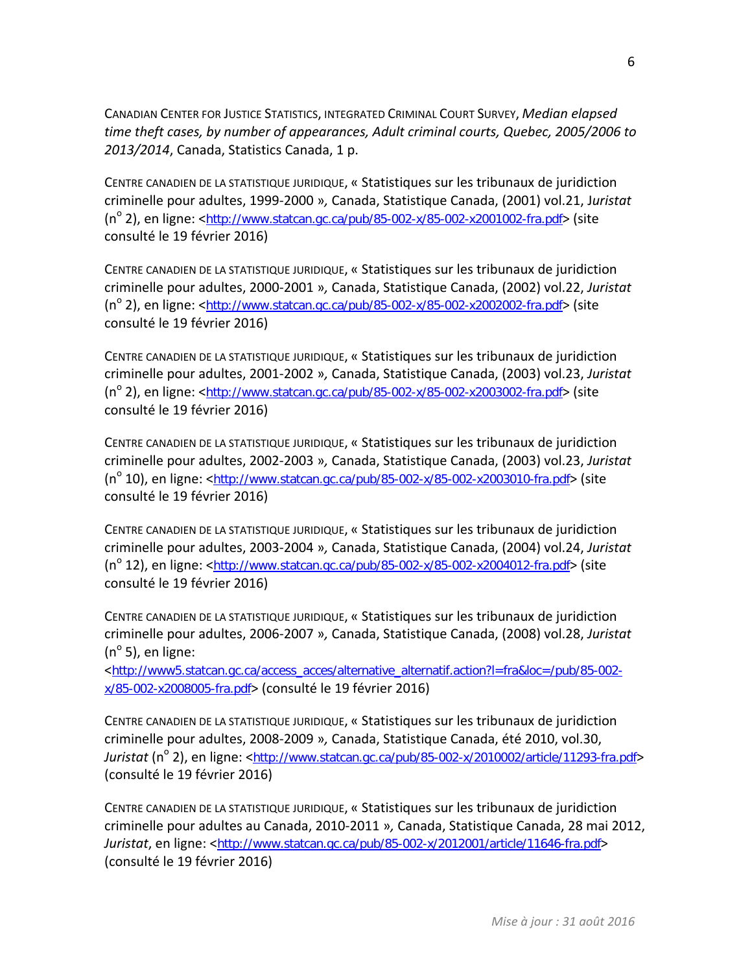CANADIAN CENTER FOR JUSTICE STATISTICS, INTEGRATED CRIMINAL COURT SURVEY, *Median elapsed time theft cases, by number of appearances, Adult criminal courts, Quebec, 2005/2006 to 2013/2014*, Canada, Statistics Canada, 1 p.

 CENTRE CANADIEN DE LA STATISTIQUE JURIDIQUE, « Statistiques sur les tribunaux de juridiction criminelle pour adultes, 1999‐2000 »*,* Canada, Statistique Canada, (2001) vol.21, J*uristat* (n<sup>o</sup> 2), en ligne: <http://www.statcan.gc.ca/pub/85-002-x/85-002-x2001002-fra.pdf> (site consulté le 19 février 2016)

 CENTRE CANADIEN DE LA STATISTIQUE JURIDIQUE, « Statistiques sur les tribunaux de juridiction criminelle pour adultes, 2000‐2001 »*,* Canada, Statistique Canada, (2002) vol.22, *Juristat* (n<sup>o</sup> 2), en ligne: <http://www.statcan.gc.ca/pub/85-002-x/85-002-x2002002-fra.pdf> (site consulté le 19 février 2016)

 CENTRE CANADIEN DE LA STATISTIQUE JURIDIQUE, « Statistiques sur les tribunaux de juridiction criminelle pour adultes, 2001‐2002 »*,* Canada, Statistique Canada, (2003) vol.23, *Juristat* (n<sup>o</sup> 2), en ligne: <http://www.statcan.gc.ca/pub/85-002-x/85-002-x2003002-fra.pdf> (site consulté le 19 février 2016)

 CENTRE CANADIEN DE LA STATISTIQUE JURIDIQUE, « Statistiques sur les tribunaux de juridiction criminelle pour adultes, 2002‐2003 »*,* Canada, Statistique Canada, (2003) vol.23, *Juristat* (n<sup>o</sup> 10), en ligne: <http://www.statcan.gc.ca/pub/85-002-x/85-002-x2003010-fra.pdf> (site consulté le 19 février 2016)

 CENTRE CANADIEN DE LA STATISTIQUE JURIDIQUE, « Statistiques sur les tribunaux de juridiction criminelle pour adultes, 2003‐2004 »*,* Canada, Statistique Canada, (2004) vol.24, *Juristat* (n<sup>o</sup> 12), en ligne: <http://www.statcan.gc.ca/pub/85-002-x/85-002-x2004012-fra.pdf> (site consulté le 19 février 2016)

 CENTRE CANADIEN DE LA STATISTIQUE JURIDIQUE, « Statistiques sur les tribunaux de juridiction criminelle pour adultes, 2006‐2007 »*,* Canada, Statistique Canada, (2008) vol.28, *Juristat*  $(n^{\circ} 5)$ , en ligne:

 x/85-002-x2008005-fra.pdf> (consulté le 19 février 2016) <http://www5.statcan.gc.ca/access\_acces/alternative\_alternatif.action?l=fra&loc=/pub/85-002-

 CENTRE CANADIEN DE LA STATISTIQUE JURIDIQUE, « Statistiques sur les tribunaux de juridiction criminelle pour adultes, 2008‐2009 »*,* Canada, Statistique Canada, été 2010, vol.30, J*uristat* (n<sup>o</sup> 2), en ligne: <<u>http://www.statcan.gc.ca/pub/85-002-x/2010002/article/11293-fra.pdf</u>> (consulté le 19 février 2016)

 CENTRE CANADIEN DE LA STATISTIQUE JURIDIQUE, « Statistiques sur les tribunaux de juridiction criminelle pour adultes au Canada, 2010‐2011 »*,* Canada, Statistique Canada, 28 mai 2012, *Juristat,* en ligne: <<u>http://www.statcan.gc.ca/pub/85-002-x/2012001/article/11646-fra.pdf</u>> (consulté le 19 février 2016)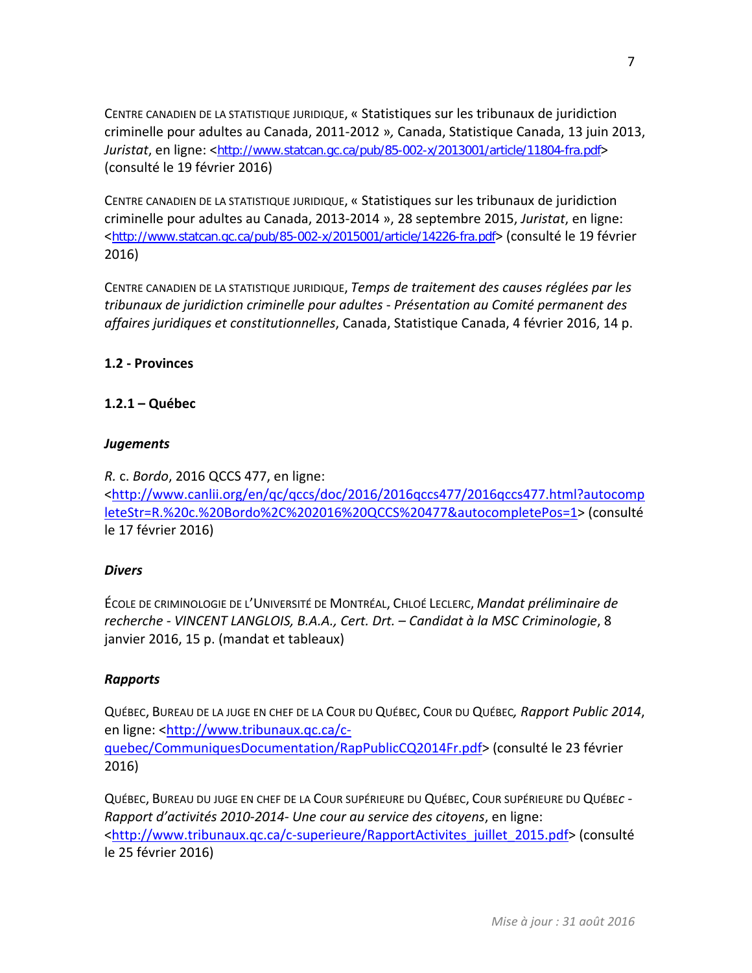CENTRE CANADIEN DE LA STATISTIQUE JURIDIQUE, « Statistiques sur les tribunaux de juridiction criminelle pour adultes au Canada, 2011‐2012 »*,* Canada, Statistique Canada, 13 juin 2013, *Juristat,* en ligne: <<u>http://www.statcan.gc.ca/pub/85-002-x/2013001/article/11804-fra.pdf</u>> (consulté le 19 février 2016)

 CENTRE CANADIEN DE LA STATISTIQUE JURIDIQUE, « Statistiques sur les tribunaux de juridiction criminelle pour adultes au Canada, 2013‐2014 », 28 septembre 2015, *Juristat*, en ligne: <http://www.statcan.gc.ca/pub/85-002-x/2015001/article/14226-fra.pdf> (consulté le 19 février 2016)

  CENTRE CANADIEN DE LA STATISTIQUE JURIDIQUE, *Temps de traitement des causes réglées par les tribunaux de juridiction criminelle pour adultes* ‐ *Présentation au Comité permanent des affaires juridiques et constitutionnelles*, Canada, Statistique Canada, 4 février 2016, 14 p.

## **1.2 ‐ Provinces**

## **1.2.1 – Québec**

### *Jugements*

 *R.* c. *Bordo*, 2016 QCCS 477, en ligne: leteStr=R.%20c.%20Bordo%2C%202016%20QCCS%20477&autocompletePos=1> (consulté le 17 février 2016) <http://www.canlii.org/en/qc/qccs/doc/2016/2016qccs477/2016qccs477.html?autocomp

### *Divers*

  ÉCOLE DE CRIMINOLOGIE DE L'UNIVERSITÉ DE MONTRÉAL, CHLOÉ LECLERC, *Mandat préliminaire de recherche ‐ VINCENT LANGLOIS, B.A.A., Cert. Drt. – Candidat à la MSC Criminologie*, 8 janvier 2016, 15 p. (mandat et tableaux)

### *Rapports*

  QUÉBEC, BUREAU DE LA JUGE EN CHEF DE LA COUR DU QUÉBEC, COUR DU QUÉBEC*, Rapport Public 2014*, en ligne: <<u>http://www.tribunaux.qc.ca/c-</u> quebec/CommuniquesDocumentation/RapPublicCQ2014Fr.pdf> (consulté le 23 février 2016)

 QUÉBEC, BUREAU DU JUGE EN CHEF DE LA COUR SUPÉRIEURE DU QUÉBEC, COUR SUPÉRIEURE DU QUÉBE*c ‐ Rapport d'activités 2010‐2014‐ Une cour au service des citoyens*, en ligne: <http://www.tribunaux.qc.ca/c-superieure/RapportActivites\_juillet\_2015.pdf> (consulté le 25 février 2016)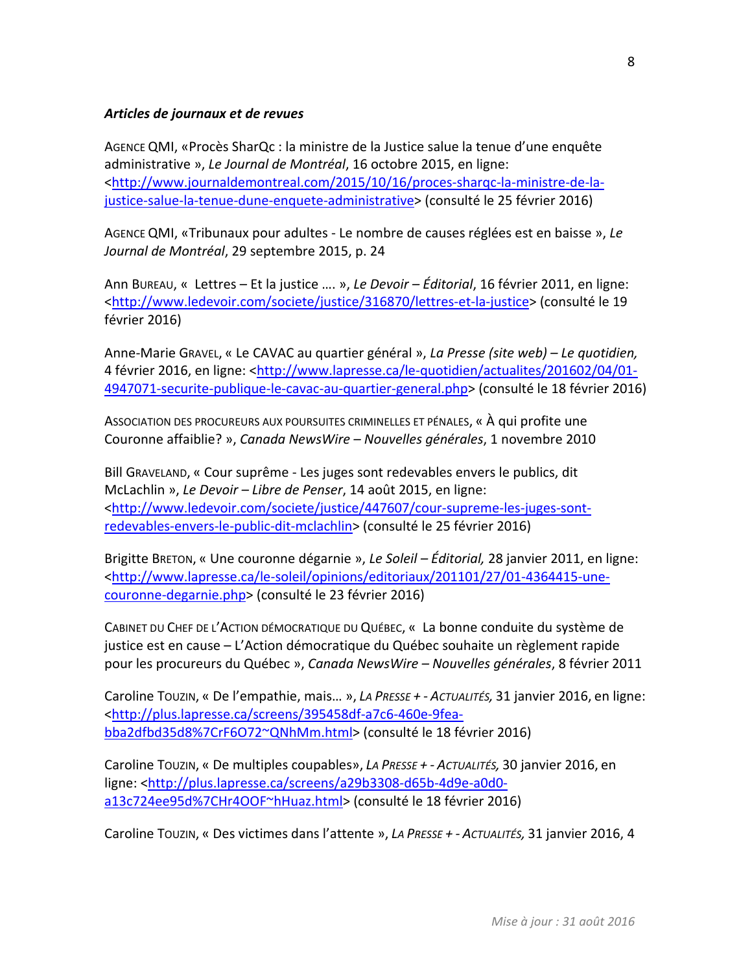### *Articles de journaux et de revues*

 AGENCE QMI, «Procès SharQc : la ministre de la Justice salue la tenue d'une enquête  administrative », *Le Journal de Montréal*, 16 octobre 2015, en ligne: justice‐salue‐la‐tenue‐dune‐enquete‐administrative> (consulté le 25 février 2016) <http://www.journaldemontreal.com/2015/10/16/proces‐sharqc‐la‐ministre‐de‐la‐

 AGENCE QMI, «Tribunaux pour adultes ‐ Le nombre de causes réglées est en baisse », *Le Journal de Montréal*, 29 septembre 2015, p. 24

  Ann BUREAU, « Lettres – Et la justice …. », *Le Devoir – Éditorial*, 16 février 2011, en ligne: <http://www.ledevoir.com/societe/justice/316870/lettres-et-la-justice> (consulté le 19 février 2016)

  Anne‐Marie GRAVEL, « Le CAVAC au quartier général », *La Presse (site web) – Le quotidien,* 4 février 2016, en ligne: <http://www.lapresse.ca/le-quotidien/actualites/201602/04/01-4947071-securite-publique-le-cavac-au-quartier-general.php> (consulté le 18 février 2016)

 ASSOCIATION DES PROCUREURS AUX POURSUITES CRIMINELLES ET PÉNALES, « À qui profite une  Couronne affaiblie? », *Canada NewsWire – Nouvelles générales*, 1 novembre 2010

 Bill GRAVELAND, « Cour suprême ‐ Les juges sont redevables envers le publics, dit  McLachlin », *Le Devoir – Libre de Penser*, 14 août 2015, en ligne: redevables‐envers‐le‐public‐dit‐mclachlin> (consulté le 25 février 2016) <http://www.ledevoir.com/societe/justice/447607/cour‐supreme‐les‐juges‐sont‐

  Brigitte BRETON, « Une couronne dégarnie », *Le Soleil – Éditorial,* 28 janvier 2011, en ligne: couronne‐degarnie.php> (consulté le 23 février 2016) <http://www.lapresse.ca/le-soleil/opinions/editoriaux/201101/27/01-4364415-une-

 CABINET DU CHEF DE L'ACTION DÉMOCRATIQUE DU QUÉBEC, « La bonne conduite du système de justice est en cause – L'Action démocratique du Québec souhaite un règlement rapide  pour les procureurs du Québec », *Canada NewsWire – Nouvelles générales*, 8 février 2011

  Caroline TOUZIN, « De l'empathie, mais… », *LA PRESSE + ‐ ACTUALITÉS,* 31 janvier 2016, en ligne: bba2dfbd35d8%7CrF6O72~QNhMm.html> (consulté le 18 février 2016) <http://plus.lapresse.ca/screens/395458df‐a7c6‐460e‐9fea‐

  Caroline TOUZIN, « De multiples coupables», *LA PRESSE + ‐ ACTUALITÉS,* 30 janvier 2016, en a13c724ee95d%7CHr4OOF~hHuaz.html> (consulté le 18 février 2016) ligne: <http://plus.lapresse.ca/screens/a29b3308-d65b-4d9e-a0d0-

 Caroline TOUZIN, « Des victimes dans l'attente », *LA PRESSE + ‐ ACTUALITÉS,* 31 janvier 2016, 4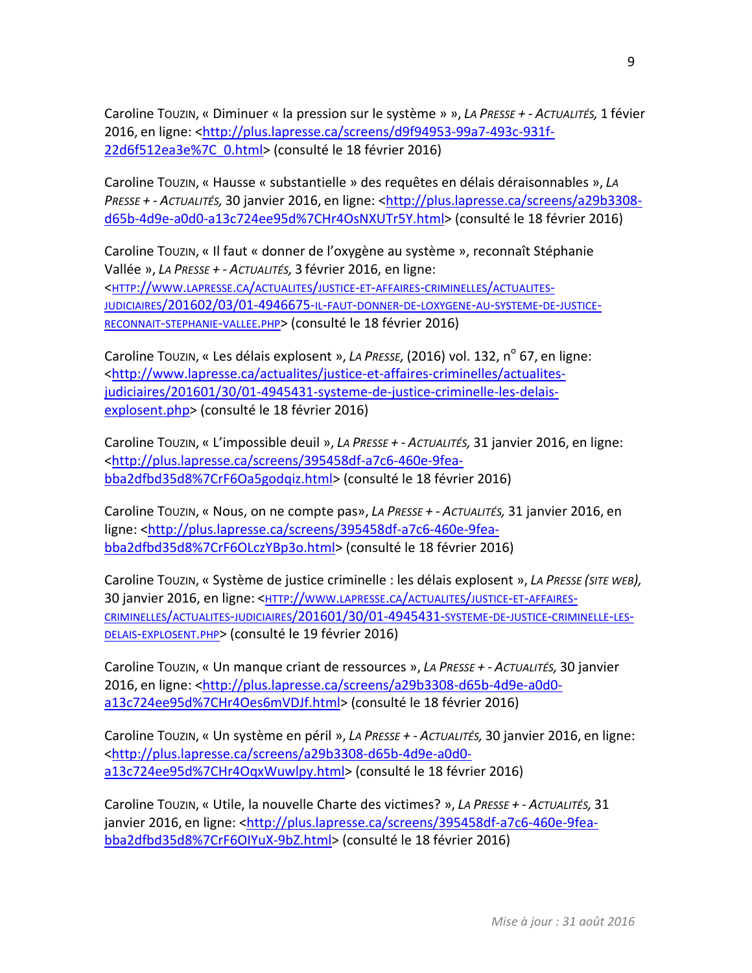Caroline TOUZIN, « Diminuer « la pression sur le système » », *LA PRESSE + ‐ ACTUALITÉS,* 1 févier 2016, en ligne: <http://plus.lapresse.ca/screens/d9f94953-99a7-493c-931f-22d6f512ea3e%7C\_0.html> (consulté le 18 février 2016)

 Caroline TOUZIN, « Hausse « substantielle » des requêtes en délais déraisonnables », *LA PRESSE + ‐ ACTUALITÉS,* 30 janvier 2016, en ligne: <http://plus.lapresse.ca/screens/a29b3308‐ d65b‐4d9e‐a0d0‐a13c724ee95d%7CHr4OsNXUTr5Y.html> (consulté le 18 février 2016)

 Caroline TOUZIN, « Il faut « donner de l'oxygène au système », reconnaît Stéphanie  Vallée », *LA PRESSE + ‐ ACTUALITÉS,* 3 février 2016, en ligne: RECONNAIT-STEPHANIE-VALLEE.PHP> (consulté le 18 février 2016) <HTTP://WWW.LAPRESSE.CA/ACTUALITES/JUSTICE‐ET‐AFFAIRES‐CRIMINELLES/ACTUALITES‐ JUDICIAIRES/201602/03/01‐4946675‐IL‐FAUT‐DONNER‐DE‐LOXYGENE‐AU‐SYSTEME‐DE‐JUSTICE‐

Caroline Touzin, « Les délais explosent », *LA PRESSE*, (2016) vol. 132, n<sup>o</sup> 67, en ligne: explosent.php> (consulté le 18 février 2016) <http://www.lapresse.ca/actualites/justice‐et‐affaires‐criminelles/actualites‐ judiciaires/201601/30/01‐4945431‐systeme‐de‐justice‐criminelle‐les‐delais‐

  Caroline TOUZIN, « L'impossible deuil », *LA PRESSE + ‐ ACTUALITÉS,* 31 janvier 2016, en ligne: bba2dfbd35d8%7CrF6Oa5godqiz.html> (consulté le 18 février 2016) <http://plus.lapresse.ca/screens/395458df‐a7c6‐460e‐9fea‐

  Caroline TOUZIN, « Nous, on ne compte pas», *LA PRESSE + ‐ ACTUALITÉS,* 31 janvier 2016, en bba2dfbd35d8%7CrF6OLczYBp3o.html> (consulté le 18 février 2016) ligne: <http://plus.lapresse.ca/screens/395458df‐a7c6‐460e‐9fea‐

  Caroline TOUZIN, « Système de justice criminelle : les délais explosent », *LA PRESSE (SITE WEB),* 30 janvier 2016, en ligne: <HTTP://www.LAPRESSE.CA/ACTUALITES/JUSTICE-ET-AFFAIRES- DELAIS‐EXPLOSENT.PHP> (consulté le 19 février 2016) CRIMINELLES/ACTUALITES‐JUDICIAIRES/201601/30/01‐4945431‐SYSTEME‐DE‐JUSTICE‐CRIMINELLE‐LES‐

  Caroline TOUZIN, « Un manque criant de ressources », *LA PRESSE + ‐ ACTUALITÉS,* 30 janvier 2016, en ligne: <http://plus.lapresse.ca/screens/a29b3308-d65b-4d9e-a0d0a13c724ee95d%7CHr4Oes6mVDJf.html> (consulté le 18 février 2016)

  Caroline TOUZIN, « Un système en péril », *LA PRESSE + ‐ ACTUALITÉS,* 30 janvier 2016, en ligne: a13c724ee95d%7CHr4OqxWuwlpy.html> (consulté le 18 février 2016) <http://plus.lapresse.ca/screens/a29b3308‐d65b‐4d9e‐a0d0‐

  Caroline TOUZIN, « Utile, la nouvelle Charte des victimes? », *LA PRESSE + ‐ ACTUALITÉS,* 31 janvier 2016, en ligne: <<u>http://plus.lapresse.ca/screens/395458df-a7c6-460e-9fea-</u> bba2dfbd35d8%7CrF6OIYuX‐9bZ.html> (consulté le 18 février 2016)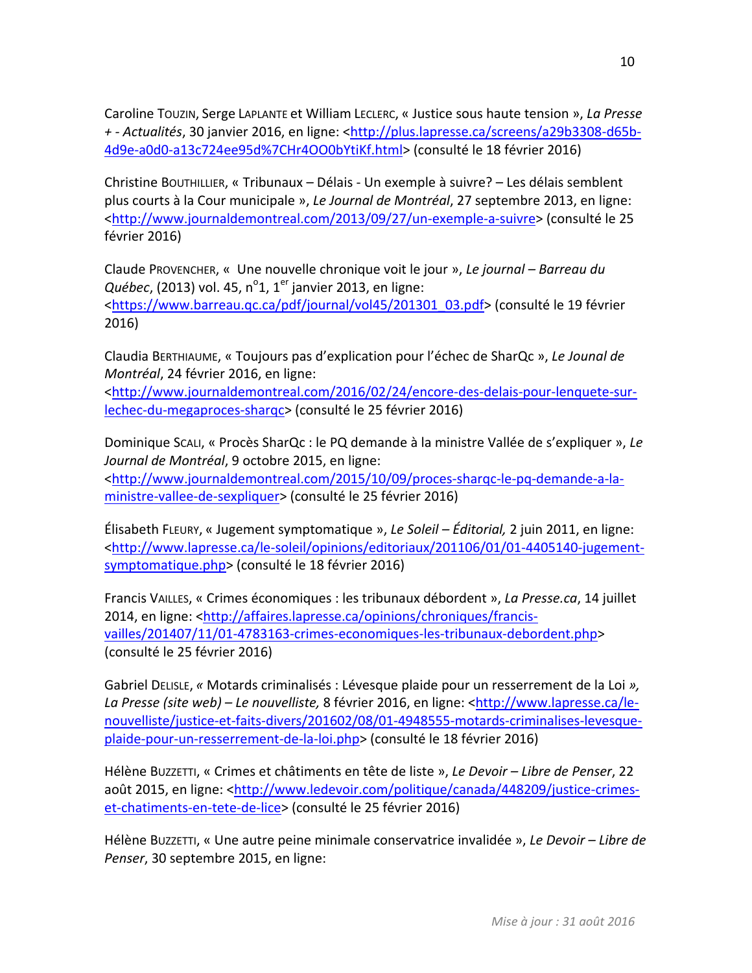Caroline TOUZIN, Serge LAPLANTE et William LECLERC, « Justice sous haute tension », *La Presse + ‐ Actualités*, 30 janvier 2016, en ligne: <http://plus.lapresse.ca/screens/a29b3308‐d65b‐ 4d9e‐a0d0‐a13c724ee95d%7CHr4OO0bYtiKf.html> (consulté le 18 février 2016)

 Christine BOUTHILLIER, « Tribunaux – Délais ‐ Un exemple à suivre? – Les délais semblent  plus courts à la Cour municipale », *Le Journal de Montréal*, 27 septembre 2013, en ligne: <http://www.journaldemontreal.com/2013/09/27/un-exemple-a-suivre> (consulté le 25 février 2016)

  Claude PROVENCHER, « Une nouvelle chronique voit le jour », *Le journal – Barreau du* Québec, (2013) vol. 45, n<sup>o</sup>1, 1<sup>er</sup> janvier 2013, en ligne: <https://www.barreau.qc.ca/pdf/journal/vol45/201301\_03.pdf> (consulté le 19 février 2016)

  Claudia BERTHIAUME, « Toujours pas d'explication pour l'échec de SharQc », *Le Jounal de Montréal*, 24 février 2016, en ligne:

lechec-du-megaproces-sharqc> (consulté le 25 février 2016) <http://www.journaldemontreal.com/2016/02/24/encore‐des‐delais‐pour‐lenquete‐sur‐

 Dominique SCALI, « Procès SharQc : le PQ demande à la ministre Vallée de s'expliquer », *Le Journal de Montréal*, 9 octobre 2015, en ligne:

 ministre‐vallee‐de‐sexpliquer> (consulté le 25 février 2016) <http://www.journaldemontreal.com/2015/10/09/proces‐sharqc‐le‐pq‐demande‐a‐la‐

  Élisabeth FLEURY, « Jugement symptomatique », *Le Soleil – Éditorial,* 2 juin 2011, en ligne: symptomatique.php> (consulté le 18 février 2016) <http://www.lapresse.ca/le‐soleil/opinions/editoriaux/201106/01/01‐4405140‐jugement‐

 Francis VAILLES, « Crimes économiques : les tribunaux débordent », *La Presse.ca*, 14 juillet 2014, en ligne: <http://affaires.lapresse.ca/opinions/chroniques/francis- (consulté le 25 février 2016) vailles/201407/11/01-4783163-crimes-economiques-les-tribunaux-debordent.php>

  Gabriel DELISLE, *«* Motards criminalisés : Lévesque plaide pour un resserrement de la Loi *», La Presse (site web) – Le nouvelliste,* 8 février 2016, en ligne: <http://www.lapresse.ca/le‐ plaide‐pour‐un‐resserrement‐de‐la‐loi.php> (consulté le 18 février 2016) nouvelliste/justice‐et‐faits‐divers/201602/08/01‐4948555‐motards‐criminalises‐levesque‐

  Hélène BUZZETTI, « Crimes et châtiments en tête de liste », *Le Devoir – Libre de Penser*, 22 août 2015, en ligne: <<u>http://www.ledevoir.com/politique/canada/448209/justice-crimes-</u> et-chatiments-en-tete-de-lice> (consulté le 25 février 2016)

  Hélène BUZZETTI, « Une autre peine minimale conservatrice invalidée », *Le Devoir – Libre de Penser*, 30 septembre 2015, en ligne: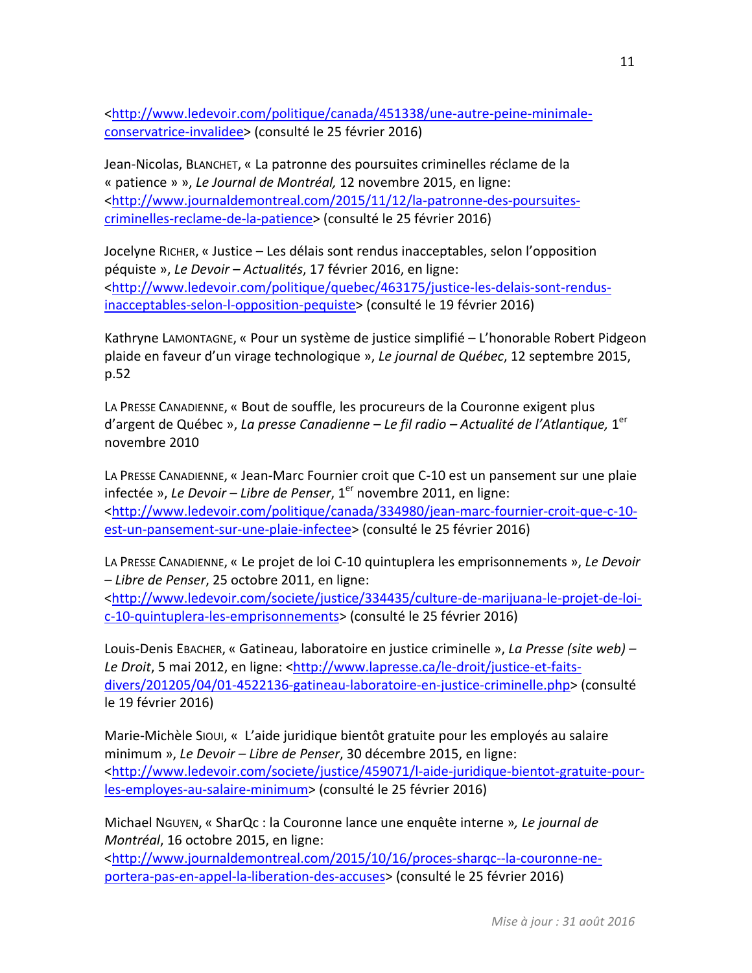conservatrice‐invalidee> (consulté le 25 février 2016) <http://www.ledevoir.com/politique/canada/451338/une‐autre‐peine‐minimale‐

 Jean‐Nicolas, BLANCHET, « La patronne des poursuites criminelles réclame de la  « patience » », *Le Journal de Montréal,* 12 novembre 2015, en ligne: criminelles‐reclame‐de‐la‐patience> (consulté le 25 février 2016) <http://www.journaldemontreal.com/2015/11/12/la‐patronne‐des‐poursuites‐

 Jocelyne RICHER, « Justice – Les délais sont rendus inacceptables, selon l'opposition  péquiste », *Le Devoir – Actualités*, 17 février 2016, en ligne: inacceptables‐selon‐l‐opposition‐pequiste> (consulté le 19 février 2016) <http://www.ledevoir.com/politique/quebec/463175/justice‐les‐delais‐sont‐rendus‐

 Kathryne LAMONTAGNE, « Pour un système de justice simplifié – L'honorable Robert Pidgeon  plaide en faveur d'un virage technologique », *Le journal de Québec*, 12 septembre 2015, p.52

 LA PRESSE CANADIENNE, « Bout de souffle, les procureurs de la Couronne exigent plus  d'argent de Québec », *La presse Canadienne – Le fil radio – Actualité de l'Atlantique,* 1er novembre 2010

 LA PRESSE CANADIENNE, « Jean‐Marc Fournier croit que C‐10 est un pansement sur une plaie  infectée », *Le Devoir – Libre de Penser*, 1er novembre 2011, en ligne: est-un-pansement-sur-une-plaie-infectee> (consulté le 25 février 2016) <http://www.ledevoir.com/politique/canada/334980/jean‐marc‐fournier‐croit‐que‐c‐10‐

  LA PRESSE CANADIENNE, « Le projet de loi C‐10 quintuplera les emprisonnements », *Le Devoir – Libre de Penser*, 25 octobre 2011, en ligne:

c-10-quintuplera-les-emprisonnements> (consulté le 25 février 2016) <http://www.ledevoir.com/societe/justice/334435/culture‐de‐marijuana‐le‐projet‐de‐loi‐

  Louis‐Denis EBACHER, « Gatineau, laboratoire en justice criminelle », *La Presse (site web) –* Le *Droit*, 5 mai 2012, en ligne: <http://www.lapresse.ca/le-droit/justice-et-faits- divers/201205/04/01‐4522136‐gatineau‐laboratoire‐en‐justice‐criminelle.php> (consulté le 19 février 2016)

 Marie‐Michèle SIOUI, « L'aide juridique bientôt gratuite pour les employés au salaire  minimum », *Le Devoir – Libre de Penser*, 30 décembre 2015, en ligne: les-employes-au-salaire-minimum> (consulté le 25 février 2016) <http://www.ledevoir.com/societe/justice/459071/l‐aide‐juridique‐bientot‐gratuite‐pour‐

  Michael NGUYEN, « SharQc : la Couronne lance une enquête interne »*, Le journal de Montréal*, 16 octobre 2015, en ligne:

 portera‐pas‐en‐appel‐la‐liberation‐des‐accuses> (consulté le 25 février 2016) <http://www.journaldemontreal.com/2015/10/16/proces‐sharqc‐‐la‐couronne‐ne‐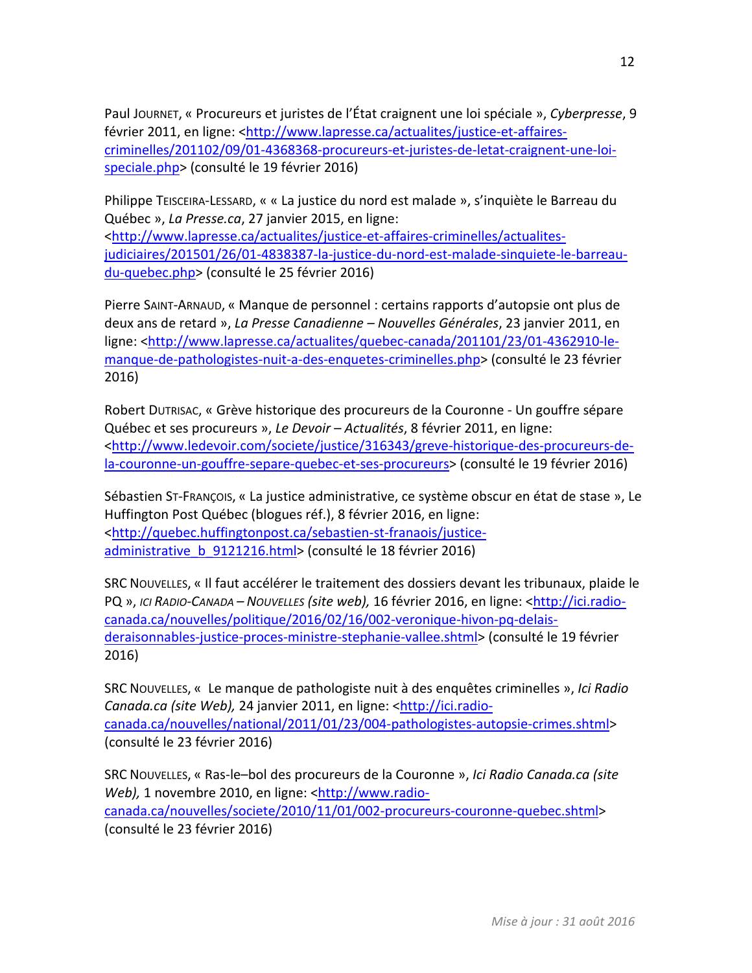Paul JOURNET, « Procureurs et juristes de l'État craignent une loi spéciale », *Cyberpresse*, 9 février 2011, en ligne: <<u>http://www.lapresse.ca/actualites/justice-et-affaires</u>- speciale.php> (consulté le 19 février 2016) criminelles/201102/09/01‐4368368‐procureurs‐et‐juristes‐de‐letat‐craignent‐une‐loi‐

 Philippe TEISCEIRA‐LESSARD, « « La justice du nord est malade », s'inquiète le Barreau du Québec », *La Presse.ca*, 27 janvier 2015, en ligne:

du-quebec.php> (consulté le 25 février 2016) <http://www.lapresse.ca/actualites/justice‐et‐affaires‐criminelles/actualites‐ judiciaires/201501/26/01‐4838387‐la‐justice‐du‐nord‐est‐malade‐sinquiete‐le‐barreau‐

 Pierre SAINT‐ARNAUD, « Manque de personnel : certains rapports d'autopsie ont plus de  deux ans de retard », *La Presse Canadienne – Nouvelles Générales*, 23 janvier 2011, en manque-de-pathologistes-nuit-a-des-enquetes-criminelles.php> (consulté le 23 février ligne: <http://www.lapresse.ca/actualites/quebec‐canada/201101/23/01‐4362910‐le‐ 2016)

 Robert DUTRISAC, « Grève historique des procureurs de la Couronne ‐ Un gouffre sépare  Québec et ses procureurs », *Le Devoir – Actualités*, 8 février 2011, en ligne: la‐couronne‐un‐gouffre‐separe‐quebec‐et‐ses‐procureurs> (consulté le 19 février 2016) <http://www.ledevoir.com/societe/justice/316343/greve-historique-des-procureurs-de-

 Sébastien ST‐FRANÇOIS, « La justice administrative, ce système obscur en état de stase », Le Huffington Post Québec (blogues réf.), 8 février 2016, en ligne: administrative b 9121216.html> (consulté le 18 février 2016) <http://quebec.huffingtonpost.ca/sebastien‐st‐franaois/justice‐

 SRC NOUVELLES, « Il faut accélérer le traitement des dossiers devant les tribunaux, plaide le  PQ », *ICI RADIO‐CANADA – NOUVELLES (site web),* 16 février 2016, en ligne: <http://ici.radio‐ deraisonnables-justice-proces-ministre-stephanie-vallee.shtml> (consulté le 19 février canada.ca/nouvelles/politique/2016/02/16/002‐veronique‐hivon‐pq‐delais‐ 2016)

  SRC NOUVELLES, « Le manque de pathologiste nuit à des enquêtes criminelles », *Ici Radio* Canada.ca (site Web), 24 janvier 2011, en ligne: <http://ici.radio- (consulté le 23 février 2016) canada.ca/nouvelles/national/2011/01/23/004‐pathologistes‐autopsie‐crimes.shtml>

  SRC NOUVELLES, « Ras‐le–bol des procureurs de la Couronne », *Ici Radio Canada.ca (site* Web), 1 novembre 2010, en ligne: <http://www.radio- (consulté le 23 février 2016) canada.ca/nouvelles/societe/2010/11/01/002-procureurs-couronne-quebec.shtml>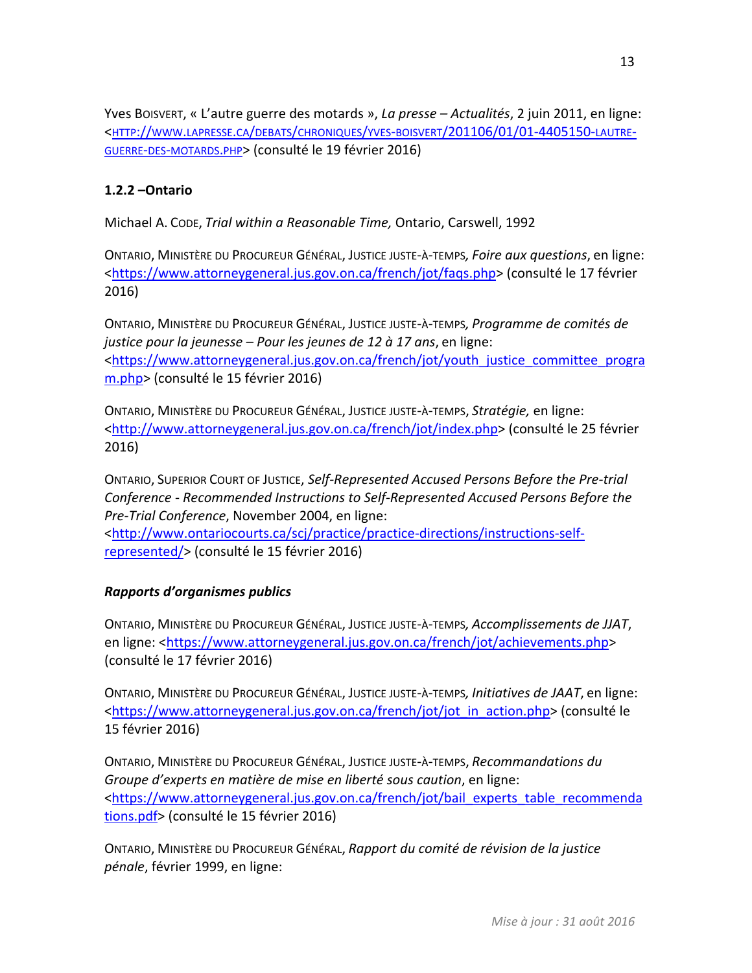Yves BOISVERT, « L'autre guerre des motards », *La presse – Actualités*, 2 juin 2011, en ligne: GUERRE‐DES‐MOTARDS.PHP> (consulté le 19 février 2016) <HTTP://WWW.LAPRESSE.CA/DEBATS/CHRONIQUES/YVES‐BOISVERT/201106/01/01‐4405150‐LAUTRE‐

## **1.2.2 –Ontario**

 Michael A. CODE, *Trial within a Reasonable Time,* Ontario, Carswell, 1992

  ONTARIO, MINISTÈRE DU PROCUREUR GÉNÉRAL, JUSTICE JUSTE‐À‐TEMPS*, Foire aux questions*, en ligne: <https://www.attorneygeneral.jus.gov.on.ca/french/jot/faqs.php> (consulté le 17 février 2016)

  ONTARIO, MINISTÈRE DU PROCUREUR GÉNÉRAL, JUSTICE JUSTE‐À‐TEMPS*, Programme de comités de justice pour la jeunesse – Pour les jeunes de 12 à 17 ans*, en ligne: m.php> (consulté le 15 février 2016) <https://www.attorneygeneral.jus.gov.on.ca/french/jot/youth\_justice\_committee\_progra

 ONTARIO, MINISTÈRE DU PROCUREUR GÉNÉRAL, JUSTICE JUSTE‐À‐TEMPS, *Stratégie,* en ligne: <http://www.attorneygeneral.jus.gov.on.ca/french/jot/index.php> (consulté le 25 février 2016)

  ONTARIO, SUPERIOR COURT OF JUSTICE, *Self‐Represented Accused Persons Before the Pre‐trial Conference ‐ Recommended Instructions to Self‐Represented Accused Persons Before the Pre‐Trial Conference*, November 2004, en ligne: represented/> (consulté le 15 février 2016) <http://www.ontariocourts.ca/scj/practice/practice‐directions/instructions‐self‐

# *Rapports d'organismes publics*

  ONTARIO, MINISTÈRE DU PROCUREUR GÉNÉRAL, JUSTICE JUSTE‐À‐TEMPS*, Accomplissements de JJAT*, en ligne: <https://www.attorneygeneral.jus.gov.on.ca/french/jot/achievements.php> (consulté le 17 février 2016)

  ONTARIO, MINISTÈRE DU PROCUREUR GÉNÉRAL, JUSTICE JUSTE‐À‐TEMPS*, Initiatives de JAAT*, en ligne: <https://www.attorneygeneral.jus.gov.on.ca/french/jot/jot\_in\_action.php> (consulté le 15 février 2016)

  ONTARIO, MINISTÈRE DU PROCUREUR GÉNÉRAL, JUSTICE JUSTE‐À‐TEMPS, *Recommandations du Groupe d'experts en matière de mise en liberté sous caution*, en ligne: tions.pdf> (consulté le 15 février 2016) <https://www.attorneygeneral.jus.gov.on.ca/french/jot/bail\_experts\_table\_recommenda

  ONTARIO, MINISTÈRE DU PROCUREUR GÉNÉRAL, *Rapport du comité de révision de la justice pénale*, février 1999, en ligne: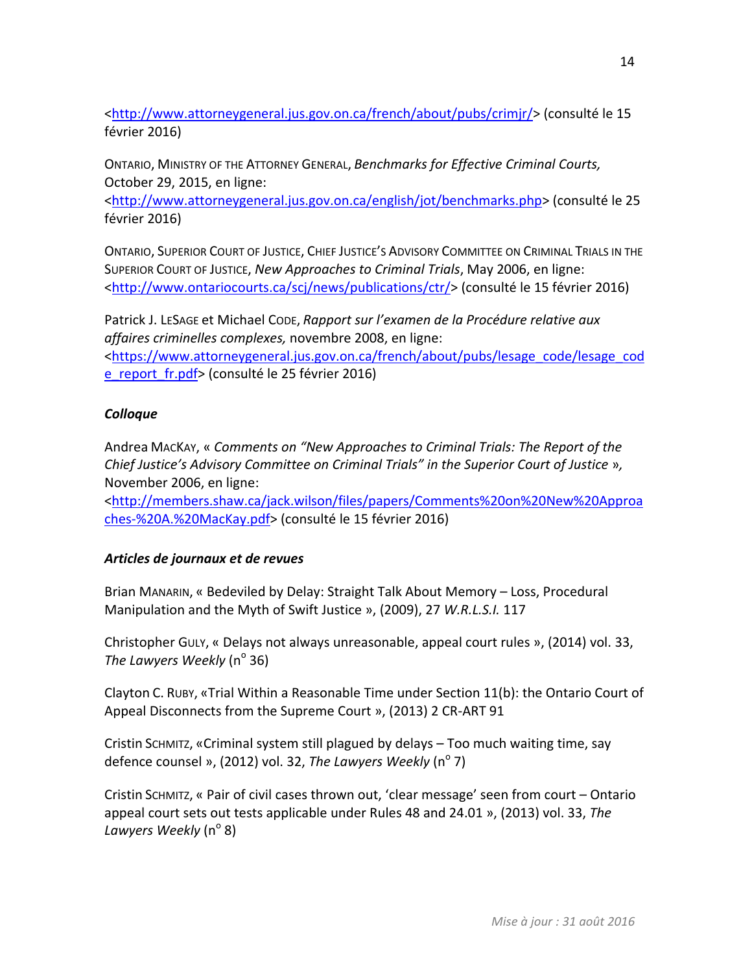<http://www.attorneygeneral.jus.gov.on.ca/french/about/pubs/crimjr/> (consulté le 15 février 2016)

  ONTARIO, MINISTRY OF THE ATTORNEY GENERAL, *Benchmarks for Effective Criminal Courts,* October 29, 2015, en ligne:

<http://www.attorneygeneral.jus.gov.on.ca/english/jot/benchmarks.php> (consulté le 25 février 2016)

 ONTARIO, SUPERIOR COURT OF JUSTICE, CHIEF JUSTICE'S ADVISORY COMMITTEE ON CRIMINAL TRIALS IN THE  SUPERIOR COURT OF JUSTICE, *New Approaches to Criminal Trials*, May 2006, en ligne: <http://www.ontariocourts.ca/scj/news/publications/ctr/> (consulté le 15 février 2016)

  Patrick J. LESAGE et Michael CODE, *Rapport sur l'examen de la Procédure relative aux affaires criminelles complexes,* novembre 2008, en ligne:

e\_report\_fr.pdf> (consulté le 25 février 2016) <https://www.attorneygeneral.jus.gov.on.ca/french/about/pubs/lesage\_code/lesage\_cod

# *Colloque*

  Andrea MACKAY, « *Comments on "New Approaches to Criminal Trials: The Report of the Chief Justice's Advisory Committee on Criminal Trials" in the Superior Court of Justice* »*,* November 2006, en ligne:

 ches‐%20A.%20MacKay.pdf> (consulté le 15 février 2016) <http://members.shaw.ca/jack.wilson/files/papers/Comments%20on%20New%20Approa

# *Articles de journaux et de revues*

 Brian MANARIN, « Bedeviled by Delay: Straight Talk About Memory – Loss, Procedural Manipulation and the Myth of Swift Justice », (2009), 27 *W.R.L.S.I.* 117

 Christopher GULY, « Delays not always unreasonable, appeal court rules », (2014) vol. 33, *The Lawyers Weekly* (n° 36)

 Clayton C. RUBY, «Trial Within a Reasonable Time under Section 11(b): the Ontario Court of Appeal Disconnects from the Supreme Court », (2013) 2 CR‐ART 91

 Cristin SCHMITZ, «Criminal system still plagued by delays – Too much waiting time, say defence counsel », (2012) vol. 32, *The Lawyers Weekly* (n<sup>o</sup> 7)

 Cristin SCHMITZ, « Pair of civil cases thrown out, 'clear message' seen from court – Ontario appeal court sets out tests applicable under Rules 48 and 24.01 », (2013) vol. 33, *The Lawyers Weekly* (n<sup>o</sup> 8)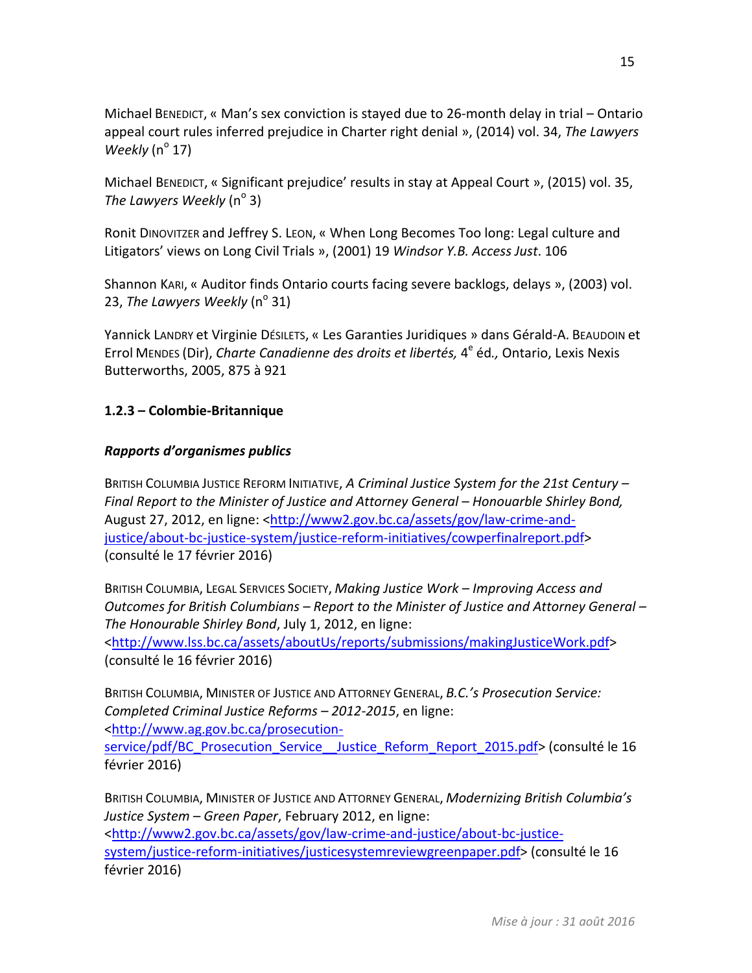Michael BENEDICT, « Man's sex conviction is stayed due to 26‐month delay in trial – Ontario  appeal court rules inferred prejudice in Charter right denial », (2014) vol. 34, *The Lawyers Weekly* (n<sup>o</sup> 17)

 Michael BENEDICT, « Significant prejudice' results in stay at Appeal Court », (2015) vol. 35, *The Lawyers Weekly* (n° 3)

 Ronit DINOVITZER and Jeffrey S. LEON, « When Long Becomes Too long: Legal culture and  Litigators' views on Long Civil Trials », (2001) 19 *Windsor Y.B. Access Just*. 106

 Shannon KARI, « Auditor finds Ontario courts facing severe backlogs, delays », (2003) vol. 23, The Lawyers Weekly (n<sup>o</sup> 31)

 Yannick LANDRY et Virginie DÉSILETS, « Les Garanties Juridiques » dans Gérald‐A. BEAUDOIN et  Errol MENDES (Dir), *Charte Canadienne des droits et libertés,* 4e éd*.,* Ontario, Lexis Nexis Butterworths, 2005, 875 à 921

# **1.2.3 – Colombie‐Britannique**

# *Rapports d'organismes publics*

  BRITISH COLUMBIA JUSTICE REFORM INITIATIVE, *A Criminal Justice System for the 21st Century – Final Report to the Minister of Justice and Attorney General – Honouarble Shirley Bond,* August 27, 2012, en ligne: <<u>http://www2.gov.bc.ca/assets/gov/law-crime-and-</u> (consulté le 17 février 2016) justice/about-bc-justice-system/justice-reform-initiatives/cowperfinalreport.pdf>

  BRITISH COLUMBIA, LEGAL SERVICES SOCIETY, *Making Justice Work – Improving Access and* Outcomes for British Columbians – Report to the Minister of Justice and Attorney General –  *The Honourable Shirley Bond*, July 1, 2012, en ligne:

 (consulté le 16 février 2016) <http://www.lss.bc.ca/assets/aboutUs/reports/submissions/makingJusticeWork.pdf>

  BRITISH COLUMBIA, MINISTER OF JUSTICE AND ATTORNEY GENERAL, *B.C.'s Prosecution Service: Completed Criminal Justice Reforms – 2012‐2015*, en ligne: <http://www.ag.gov.bc.ca/prosecution‐

service/pdf/BC\_Prosecution\_Service\_\_Justice\_Reform\_Report\_2015.pdf> (consulté le 16 février 2016)

  BRITISH COLUMBIA, MINISTER OF JUSTICE AND ATTORNEY GENERAL, *Modernizing British Columbia's Justice System – Green Paper*, February 2012, en ligne: system/justice-reform-initiatives/justicesystemreviewgreenpaper.pdf> (consulté le 16 février 2016) <http://www2.gov.bc.ca/assets/gov/law‐crime‐and‐justice/about‐bc‐justice‐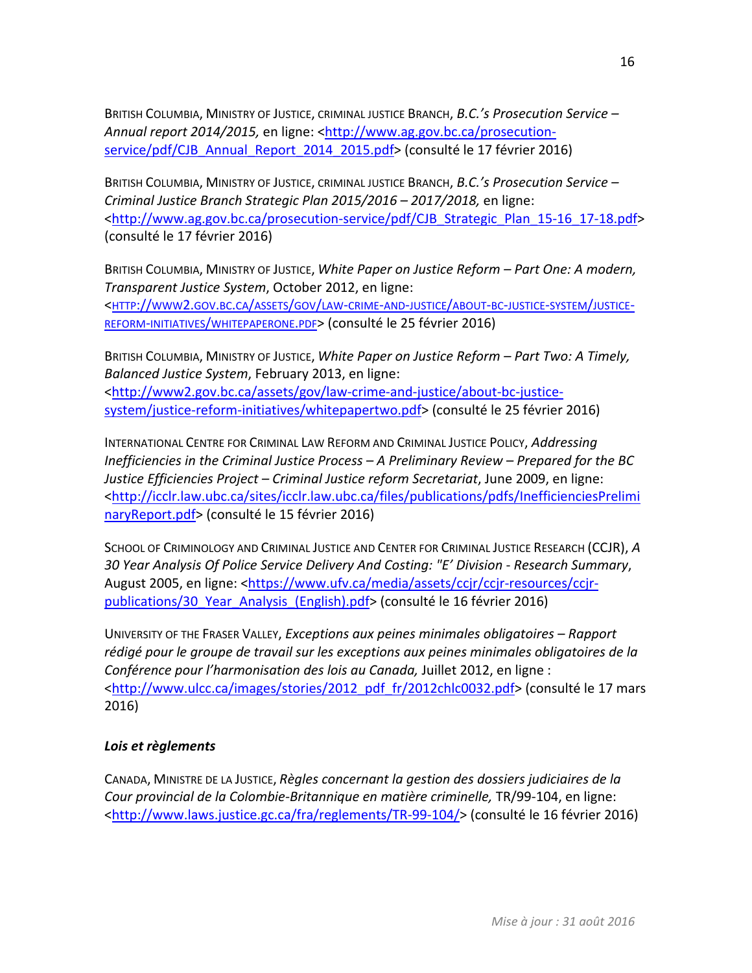BRITISH COLUMBIA, MINISTRY OF JUSTICE, CRIMINAL JUSTICE BRANCH, *B.C.'s Prosecution Service – Annual report 2014/2015,* en ligne: <<u>http://www.ag.gov.bc.ca/prosecution-</u> service/pdf/CJB\_Annual\_Report\_2014\_2015.pdf> (consulté le 17 février 2016)

  BRITISH COLUMBIA, MINISTRY OF JUSTICE, CRIMINAL JUSTICE BRANCH, *B.C.'s Prosecution Service – Criminal Justice Branch Strategic Plan 2015/2016 – 2017/2018,* en ligne: (consulté le 17 février 2016) <http://www.ag.gov.bc.ca/prosecution-service/pdf/CJB\_Strategic\_Plan\_15-16\_17-18.pdf>

  BRITISH COLUMBIA, MINISTRY OF JUSTICE, *White Paper on Justice Reform – Part One: A modern, Transparent Justice System*, October 2012, en ligne: REFORM-INITIATIVES/WHITEPAPERONE.PDF> (consulté le 25 février 2016) <HTTP://WWW2.GOV.BC.CA/ASSETS/GOV/LAW‐CRIME‐AND‐JUSTICE/ABOUT‐BC‐JUSTICE‐SYSTEM/JUSTICE‐

  BRITISH COLUMBIA, MINISTRY OF JUSTICE, *White Paper on Justice Reform – Part Two: A Timely, Balanced Justice System*, February 2013, en ligne: system/justice‐reform‐initiatives/whitepapertwo.pdf> (consulté le 25 février 2016) <http://www2.gov.bc.ca/assets/gov/law‐crime‐and‐justice/about‐bc‐justice‐

 INTERNATIONAL CENTRE FOR CRIMINAL LAW REFORM AND CRIMINAL JUSTICE POLICY, *Addressing* Inefficiencies in the Criminal Justice Process - A Preliminary Review - Prepared for the BC  *Justice Efficiencies Project – Criminal Justice reform Secretariat*, June 2009, en ligne: naryReport.pdf> (consulté le 15 février 2016) <http://icclr.law.ubc.ca/sites/icclr.law.ubc.ca/files/publications/pdfs/InefficienciesPrelimi

 SCHOOL OF CRIMINOLOGY AND CRIMINAL JUSTICE AND CENTER FOR CRIMINAL JUSTICE RESEARCH (CCJR), *A 30 Year Analysis Of Police Service Delivery And Costing: "E' Division* ‐ *Research Summary*, August 2005, en ligne: <https://www.ufv.ca/media/assets/ccjr/ccjr-resources/ccjrpublications/30 Year Analysis (English).pdf> (consulté le 16 février 2016)

  UNIVERSITY OF THE FRASER VALLEY, *Exceptions aux peines minimales obligatoires – Rapport* rédigé pour le groupe de travail sur les exceptions aux peines minimales obligatoires de la  *Conférence pour l'harmonisation des lois au Canada,* Juillet 2012, en ligne : <http://www.ulcc.ca/images/stories/2012\_pdf\_fr/2012chlc0032.pdf> (consulté le 17 mars 2016)

# *Lois et règlements*

  CANADA, MINISTRE DE LA JUSTICE, *Règles concernant la gestion des dossiers judiciaires de la Cour provincial de la Colombie‐Britannique en matière criminelle,* TR/99‐104, en ligne: <http://www.laws.justice.gc.ca/fra/reglements/TR-99-104/> (consulté le 16 février 2016)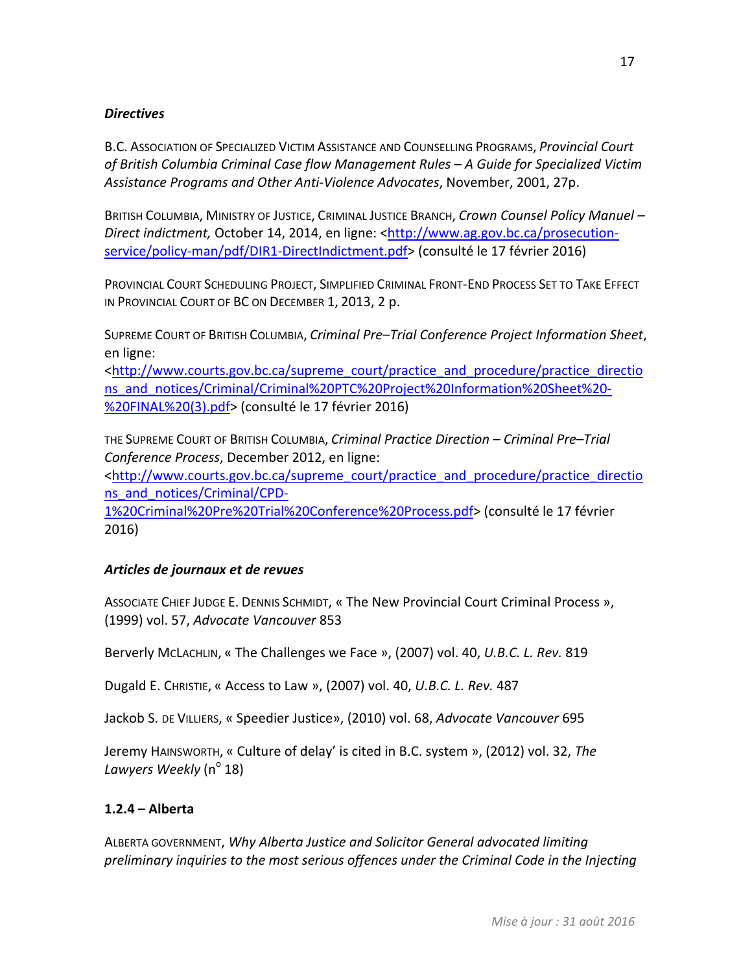### *Directives*

  B.C. ASSOCIATION OF SPECIALIZED VICTIM ASSISTANCE AND COUNSELLING PROGRAMS, *Provincial Court* of British Columbia Criminal Case flow Management Rules – A Guide for Specialized Victim  *Assistance Programs and Other Anti‐Violence Advocates*, November, 2001, 27p.

  BRITISH COLUMBIA, MINISTRY OF JUSTICE, CRIMINAL JUSTICE BRANCH, *Crown Counsel Policy Manuel – Direct indictment,* October 14, 2014, en ligne: <http://www.ag.gov.bc.ca/prosecution‐ service/policy‐man/pdf/DIR1‐DirectIndictment.pdf> (consulté le 17 février 2016)

 PROVINCIAL COURT SCHEDULING PROJECT, SIMPLIFIED CRIMINAL FRONT‐END PROCESS SET TO TAKE EFFECT IN PROVINCIAL COURT OF BC ON DECEMBER 1, 2013, 2 p.

  SUPREME COURT OF BRITISH COLUMBIA, *Criminal Pre–Trial Conference Project Information Sheet*, en ligne:

 %20FINAL%20(3).pdf> (consulté le 17 février 2016) <http://www.courts.gov.bc.ca/supreme\_court/practice\_and\_procedure/practice\_directio ns\_and\_notices/Criminal/Criminal%20PTC%20Project%20Information%20Sheet%20-

  THE SUPREME COURT OF BRITISH COLUMBIA, *Criminal Practice Direction – Criminal Pre–Trial Conference Process*, December 2012, en ligne:

<http://www.courts.gov.bc.ca/supreme\_court/practice\_and\_procedure/practice\_directio ns\_and\_notices/Criminal/CPD-

 1%20Criminal%20Pre%20Trial%20Conference%20Process.pdf> (consulté le 17 février 2016)

# *Articles de journaux et de revues*

 ASSOCIATE CHIEF JUDGE E. DENNIS SCHMIDT, « The New Provincial Court Criminal Process », (1999) vol. 57, *Advocate Vancouver* 853

 Berverly MCLACHLIN, « The Challenges we Face », (2007) vol. 40, *U.B.C. L. Rev.* 819

 Dugald E. CHRISTIE, « Access to Law », (2007) vol. 40, *U.B.C. L. Rev.* 487

Jackob S. DE VILLIERS, « Speedier Justice», (2010) vol. 68, *Advocate Vancouver* 695

 Jeremy HAINSWORTH, « Culture of delay' is cited in B.C. system », (2012) vol. 32, *The Lawyers Weekly* (n<sup>o</sup> 18)

## **1.2.4 – Alberta**

 ALBERTA GOVERNMENT, *Why Alberta Justice and Solicitor General advocated limiting preliminary inquiries to the most serious offences under the Criminal Code in the Injecting*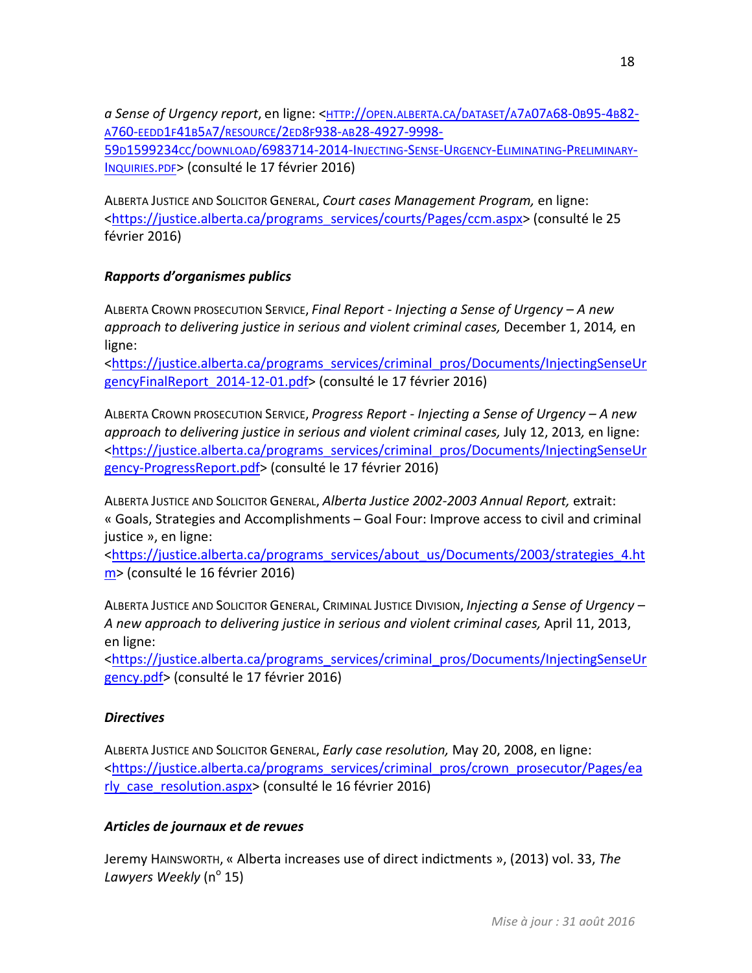*a Sense of Urgency report*, en ligne: <HTTP://OPEN.ALBERTA.CA/DATASET/A7A07A68‐0B95‐4B82‐ INQUIRIES.PDF> (consulté le 17 février 2016) A760‐EEDD1F41B5A7/RESOURCE/2ED8F938‐AB28‐4927‐9998‐ 59D1599234CC/DOWNLOAD/6983714‐2014‐INJECTING‐SENSE‐URGENCY‐ELIMINATING‐PRELIMINARY‐

  ALBERTA JUSTICE AND SOLICITOR GENERAL, *Court cases Management Program,* en ligne: <https://justice.alberta.ca/programs\_services/courts/Pages/ccm.aspx> (consulté le 25 février 2016)

# *Rapports d'organismes publics*

  ALBERTA CROWN PROSECUTION SERVICE, *Final Report ‐ Injecting a Sense of Urgency – A new approach to delivering justice in serious and violent criminal cases,* December 1, 2014*,* en ligne:

gencyFinalReport\_2014-12-01.pdf> (consulté le 17 février 2016) <https://justice.alberta.ca/programs\_services/criminal\_pros/Documents/InjectingSenseUr

  ALBERTA CROWN PROSECUTION SERVICE, *Progress Report ‐ Injecting a Sense of Urgency – A new approach to delivering justice in serious and violent criminal cases,* July 12, 2013*,* en ligne: gency‐ProgressReport.pdf> (consulté le 17 février 2016) <https://justice.alberta.ca/programs\_services/criminal\_pros/Documents/InjectingSenseUr

  ALBERTA JUSTICE AND SOLICITOR GENERAL, *Alberta Justice 2002‐2003 Annual Report,* extrait: « Goals, Strategies and Accomplishments – Goal Four: Improve access to civil and criminal justice », en ligne:

m> (consulté le 16 février 2016) <https://justice.alberta.ca/programs\_services/about\_us/Documents/2003/strategies\_4.ht

  ALBERTA JUSTICE AND SOLICITOR GENERAL, CRIMINAL JUSTICE DIVISION, *Injecting a Sense of Urgency – A new approach to delivering justice in serious and violent criminal cases,* April 11, 2013, en ligne:

 gency.pdf> (consulté le 17 février 2016) <https://justice.alberta.ca/programs\_services/criminal\_pros/Documents/InjectingSenseUr

# *Directives*

  ALBERTA JUSTICE AND SOLICITOR GENERAL, *Early case resolution,* May 20, 2008, en ligne: rly\_case\_resolution.aspx> (consulté le 16 février 2016) <https://justice.alberta.ca/programs\_services/criminal\_pros/crown\_prosecutor/Pages/ea

# *Articles de journaux et de revues*

 Jeremy HAINSWORTH, « Alberta increases use of direct indictments », (2013) vol. 33, *The Lawyers Weekly* (n<sup>o</sup> 15)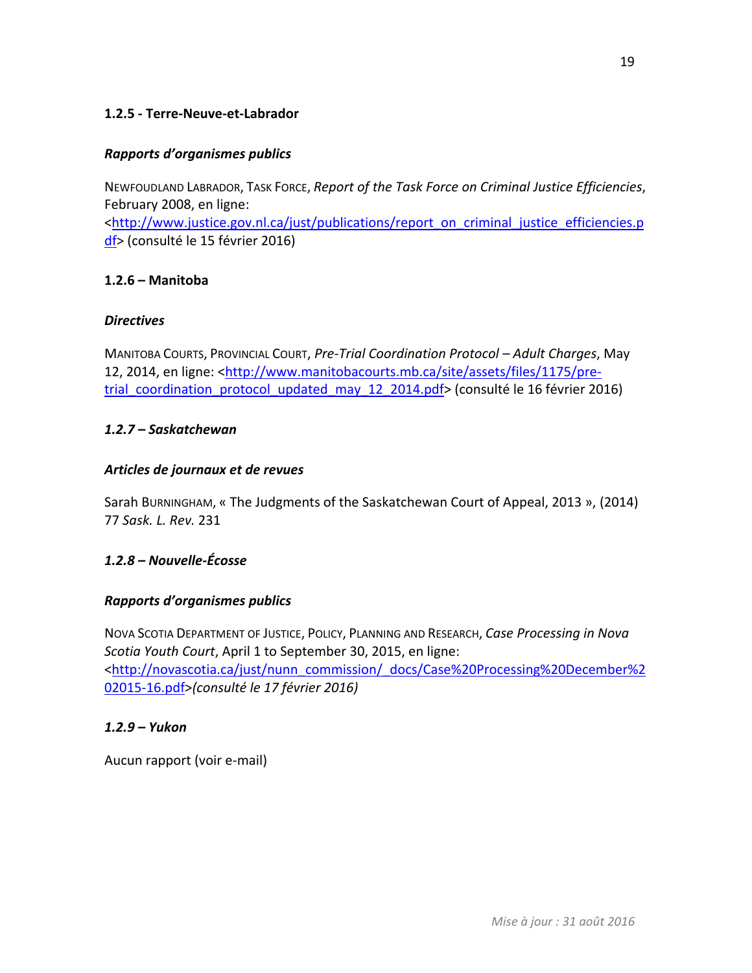## **1.2.5 ‐ Terre‐Neuve‐et‐Labrador**

# *Rapports d'organismes publics*

  NEWFOUDLAND LABRADOR, TASK FORCE, *Report of the Task Force on Criminal Justice Efficiencies*, February 2008, en ligne:

<u>df</u>> (consulté le 15 février 2016) <http://www.justice.gov.nl.ca/just/publications/report\_on\_criminal\_justice\_efficiencies.p

## **1.2.6 – Manitoba**

### *Directives*

  MANITOBA COURTS, PROVINCIAL COURT, *Pre‐Trial Coordination Protocol – Adult Charges*, May 12, 2014, en ligne: <http://www.manitobacourts.mb.ca/site/assets/files/1175/pretrial\_coordination\_protocol\_updated\_may\_12\_2014.pdf> (consulté le 16 février 2016)

## *1.2.7 – Saskatchewan*

## *Articles de journaux et de revues*

 Sarah BURNINGHAM, « The Judgments of the Saskatchewan Court of Appeal, 2013 », (2014)  77 *Sask. L. Rev.* 231

# *1.2.8 – Nouvelle‐Écosse*

## *Rapports d'organismes publics*

  NOVA SCOTIA DEPARTMENT OF JUSTICE, POLICY, PLANNING AND RESEARCH, *Case Processing in Nova Scotia Youth Court*, April 1 to September 30, 2015, en ligne:  02015‐16.pdf>*(consulté le 17 février 2016)* <http://novascotia.ca/just/nunn\_commission/\_docs/Case%20Processing%20December%2

### *1.2.9 – Yukon*

Aucun rapport (voir e‐mail)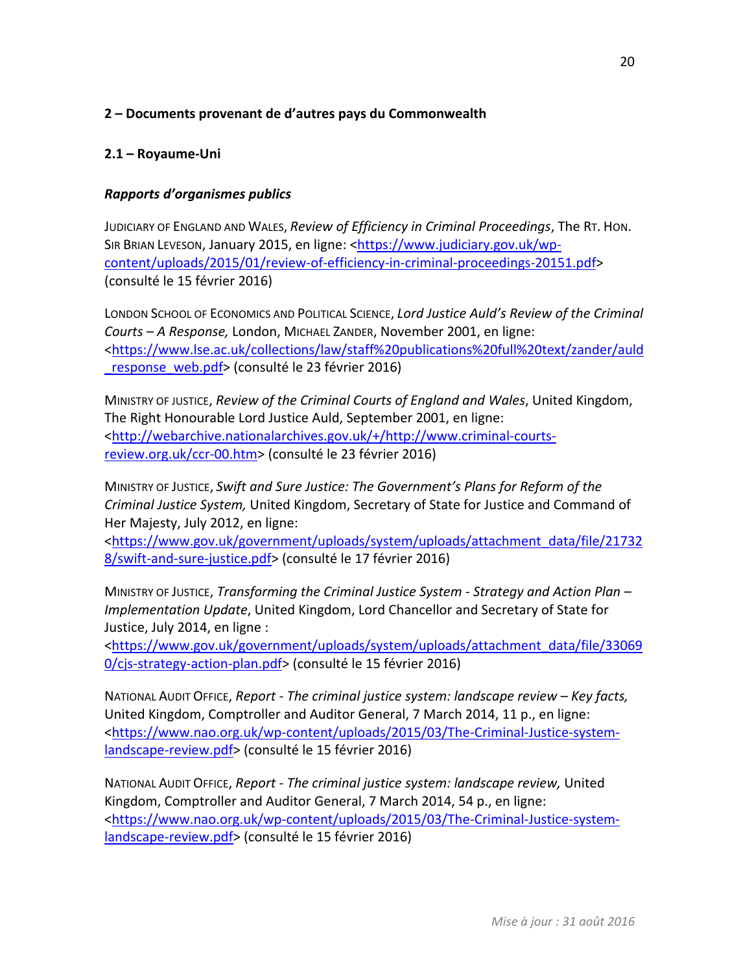# **2 – Documents provenant de d'autres pays du Commonwealth**

# **2.1 – Royaume‐Uni**

# *Rapports d'organismes publics*

  JUDICIARY OF ENGLAND AND WALES, *Review of Efficiency in Criminal Proceedings*, The RT. HON. Sır Brıan Leveson, January 2015, en ligne: <<u>https://www.judiciary.gov.uk/wp-</u> (consulté le 15 février 2016) content/uploads/2015/01/review-of-efficiency-in-criminal-proceedings-20151.pdf>

  LONDON SCHOOL OF ECONOMICS AND POLITICAL SCIENCE, *Lord Justice Auld's Review of the Criminal Courts – A Response,* London, MICHAEL ZANDER, November 2001, en ligne: response\_web.pdf> (consulté le 23 février 2016) <https://www.lse.ac.uk/collections/law/staff%20publications%20full%20text/zander/auld

  MINISTRY OF JUSTICE, *Review of the Criminal Courts of England and Wales*, United Kingdom, The Right Honourable Lord Justice Auld, September 2001, en ligne: review.org.uk/ccr‐00.htm> (consulté le 23 février 2016) <http://webarchive.nationalarchives.gov.uk/+/http://www.criminal-courts-

  MINISTRY OF JUSTICE, *Swift and Sure Justice: The Government's Plans for Reform of the Criminal Justice System,* United Kingdom, Secretary of State for Justice and Command of Her Majesty, July 2012, en ligne:

8/swift-and-sure-justice.pdf> (consulté le 17 février 2016) <https://www.gov.uk/government/uploads/system/uploads/attachment\_data/file/21732

  MINISTRY OF JUSTICE, *Transforming the Criminal Justice System ‐ Strategy and Action Plan – Implementation Update*, United Kingdom, Lord Chancellor and Secretary of State for Justice, July 2014, en ligne :

0/cjs-strategy-action-plan.pdf> (consulté le 15 février 2016) <https://www.gov.uk/government/uploads/system/uploads/attachment\_data/file/33069

  NATIONAL AUDIT OFFICE, *Report* ‐ *The criminal justice system: landscape review – Key facts,* United Kingdom, Comptroller and Auditor General, 7 March 2014, 11 p., en ligne: landscape-review.pdf> (consulté le 15 février 2016) <https://www.nao.org.uk/wp‐content/uploads/2015/03/The‐Criminal‐Justice‐system‐

  NATIONAL AUDIT OFFICE, *Report* ‐ *The criminal justice system: landscape review,* United Kingdom, Comptroller and Auditor General, 7 March 2014, 54 p., en ligne: landscape‐review.pdf> (consulté le 15 février 2016) <https://www.nao.org.uk/wp‐content/uploads/2015/03/The‐Criminal‐Justice‐system‐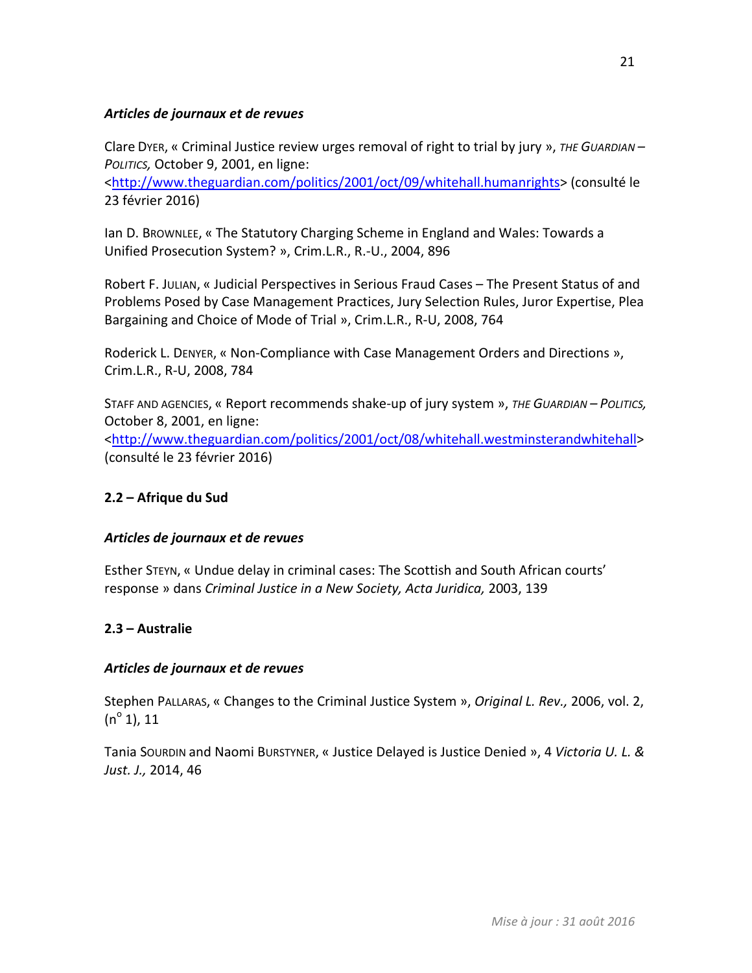## *Articles de journaux et de revues*

  Clare DYER, « Criminal Justice review urges removal of right to trial by jury », *THE GUARDIAN – POLITICS,* October 9, 2001, en ligne:

 <http://www.theguardian.com/politics/2001/oct/09/whitehall.humanrights> (consulté le 23 février 2016)

 Ian D. BROWNLEE, « The Statutory Charging Scheme in England and Wales: Towards a Unified Prosecution System? », Crim.L.R., R.‐U., 2004, 896

 Robert F. JULIAN, « Judicial Perspectives in Serious Fraud Cases – The Present Status of and Problems Posed by Case Management Practices, Jury Selection Rules, Juror Expertise, Plea Bargaining and Choice of Mode of Trial », Crim.L.R., R‐U, 2008, 764

 Roderick L. DENYER, « Non‐Compliance with Case Management Orders and Directions », Crim.L.R., R‐U, 2008, 784

  STAFF AND AGENCIES, « Report recommends shake‐up of jury system », *THE GUARDIAN – POLITICS,* October 8, 2001, en ligne: (consulté le 23 février 2016) <http://www.theguardian.com/politics/2001/oct/08/whitehall.westminsterandwhitehall>

# **2.2 – Afrique du Sud**

# *Articles de journaux et de revues*

 Esther STEYN, « Undue delay in criminal cases: The Scottish and South African courts'  response » dans *Criminal Justice in a New Society, Acta Juridica,* 2003, 139

# **2.3 – Australie**

# *Articles de journaux et de revues*

  Stephen PALLARAS, « Changes to the Criminal Justice System », *Original L. Rev.,* 2006, vol. 2,  $(n^{\circ} 1)$ , 11

  Tania SOURDIN and Naomi BURSTYNER, « Justice Delayed is Justice Denied », 4 *Victoria U. L. & Just. J.,* 2014, 46